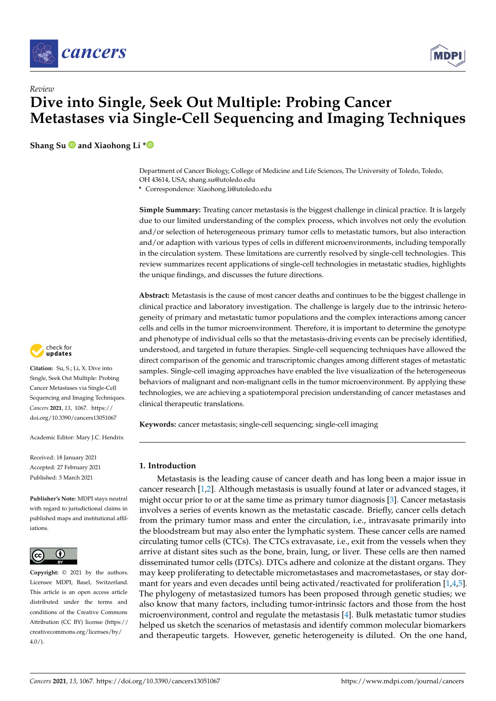



# *Review* **Dive into Single, Seek Out Multiple: Probing Cancer Metastases via Single-Cell Sequencing and Imaging Techniques**

**Shang Su and Xiaohong Li [\\*](https://orcid.org/0000-0001-5074-193X)**

Department of Cancer Biology, College of Medicine and Life Sciences, The University of Toledo, Toledo, OH 43614, USA; shang.su@utoledo.edu

**\*** Correspondence: Xiaohong.li@utoledo.edu

**Simple Summary:** Treating cancer metastasis is the biggest challenge in clinical practice. It is largely due to our limited understanding of the complex process, which involves not only the evolution and/or selection of heterogeneous primary tumor cells to metastatic tumors, but also interaction and/or adaption with various types of cells in different microenvironments, including temporally in the circulation system. These limitations are currently resolved by single-cell technologies. This review summarizes recent applications of single-cell technologies in metastatic studies, highlights the unique findings, and discusses the future directions.

**Abstract:** Metastasis is the cause of most cancer deaths and continues to be the biggest challenge in clinical practice and laboratory investigation. The challenge is largely due to the intrinsic heterogeneity of primary and metastatic tumor populations and the complex interactions among cancer cells and cells in the tumor microenvironment. Therefore, it is important to determine the genotype and phenotype of individual cells so that the metastasis-driving events can be precisely identified, understood, and targeted in future therapies. Single-cell sequencing techniques have allowed the direct comparison of the genomic and transcriptomic changes among different stages of metastatic samples. Single-cell imaging approaches have enabled the live visualization of the heterogeneous behaviors of malignant and non-malignant cells in the tumor microenvironment. By applying these technologies, we are achieving a spatiotemporal precision understanding of cancer metastases and clinical therapeutic translations.

**Keywords:** cancer metastasis; single-cell sequencing; single-cell imaging

# **1. Introduction**

Metastasis is the leading cause of cancer death and has long been a major issue in cancer research [\[1](#page-12-0)[,2\]](#page-12-1). Although metastasis is usually found at later or advanced stages, it might occur prior to or at the same time as primary tumor diagnosis [\[3\]](#page-12-2). Cancer metastasis involves a series of events known as the metastatic cascade. Briefly, cancer cells detach from the primary tumor mass and enter the circulation, i.e., intravasate primarily into the bloodstream but may also enter the lymphatic system. These cancer cells are named circulating tumor cells (CTCs). The CTCs extravasate, i.e., exit from the vessels when they arrive at distant sites such as the bone, brain, lung, or liver. These cells are then named disseminated tumor cells (DTCs). DTCs adhere and colonize at the distant organs. They may keep proliferating to detectable micrometastases and macrometastases, or stay dormant for years and even decades until being activated/reactivated for proliferation [\[1](#page-12-0)[,4](#page-12-3)[,5\]](#page-12-4). The phylogeny of metastasized tumors has been proposed through genetic studies; we also know that many factors, including tumor-intrinsic factors and those from the host microenvironment, control and regulate the metastasis [\[4\]](#page-12-3). Bulk metastatic tumor studies helped us sketch the scenarios of metastasis and identify common molecular biomarkers and therapeutic targets. However, genetic heterogeneity is diluted. On the one hand,



**Citation:** Su, S.; Li, X. Dive into Single, Seek Out Multiple: Probing Cancer Metastases via Single-Cell Sequencing and Imaging Techniques. *Cancers* **2021**, *13*, 1067. [https://](https://doi.org/10.3390/cancers13051067) [doi.org/10.3390/cancers13051067](https://doi.org/10.3390/cancers13051067)

Academic Editor: Mary J.C. Hendrix

Received: 18 January 2021 Accepted: 27 February 2021 Published: 3 March 2021

**Publisher's Note:** MDPI stays neutral with regard to jurisdictional claims in published maps and institutional affiliations.



**Copyright:** © 2021 by the authors. Licensee MDPI, Basel, Switzerland. This article is an open access article distributed under the terms and conditions of the Creative Commons Attribution (CC BY) license (https:/[/](https://creativecommons.org/licenses/by/4.0/) [creativecommons.org/licenses/by/](https://creativecommons.org/licenses/by/4.0/)  $4.0/$ ).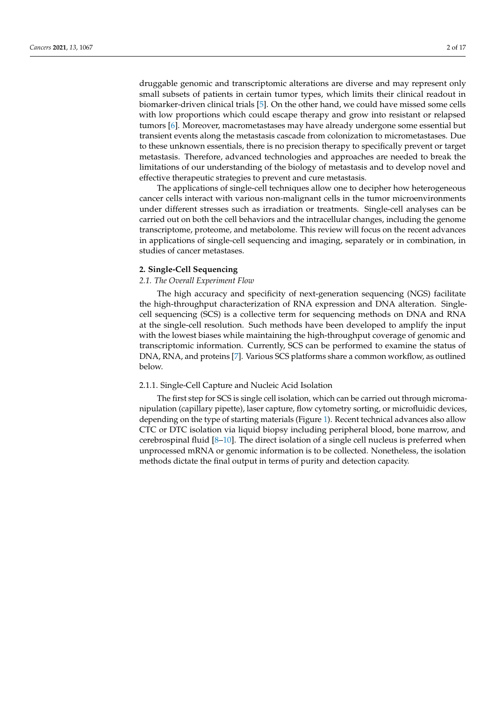druggable genomic and transcriptomic alterations are diverse and may represent only small subsets of patients in certain tumor types, which limits their clinical readout in biomarker-driven clinical trials [\[5\]](#page-12-4). On the other hand, we could have missed some cells with low proportions which could escape therapy and grow into resistant or relapsed tumors [\[6\]](#page-12-5). Moreover, macrometastases may have already undergone some essential but transient events along the metastasis cascade from colonization to micrometastases. Due to these unknown essentials, there is no precision therapy to specifically prevent or target metastasis. Therefore, advanced technologies and approaches are needed to break the limitations of our understanding of the biology of metastasis and to develop novel and effective therapeutic strategies to prevent and cure metastasis.

The applications of single-cell techniques allow one to decipher how heterogeneous cancer cells interact with various non-malignant cells in the tumor microenvironments under different stresses such as irradiation or treatments. Single-cell analyses can be carried out on both the cell behaviors and the intracellular changes, including the genome transcriptome, proteome, and metabolome. This review will focus on the recent advances in applications of single-cell sequencing and imaging, separately or in combination, in studies of cancer metastases.

# **2. Single-Cell Sequencing**

# *2.1. The Overall Experiment Flow*

The high accuracy and specificity of next-generation sequencing (NGS) facilitate the high-throughput characterization of RNA expression and DNA alteration. Singlecell sequencing (SCS) is a collective term for sequencing methods on DNA and RNA at the single-cell resolution. Such methods have been developed to amplify the input with the lowest biases while maintaining the high-throughput coverage of genomic and transcriptomic information. Currently, SCS can be performed to examine the status of DNA, RNA, and proteins [\[7\]](#page-12-6). Various SCS platforms share a common workflow, as outlined below.

# 2.1.1. Single-Cell Capture and Nucleic Acid Isolation

The first step for SCS is single cell isolation, which can be carried out through micromanipulation (capillary pipette), laser capture, flow cytometry sorting, or microfluidic devices, depending on the type of starting materials (Figure [1\)](#page-2-0). Recent technical advances also allow CTC or DTC isolation via liquid biopsy including peripheral blood, bone marrow, and cerebrospinal fluid  $[8-10]$  $[8-10]$ . The direct isolation of a single cell nucleus is preferred when unprocessed mRNA or genomic information is to be collected. Nonetheless, the isolation methods dictate the final output in terms of purity and detection capacity.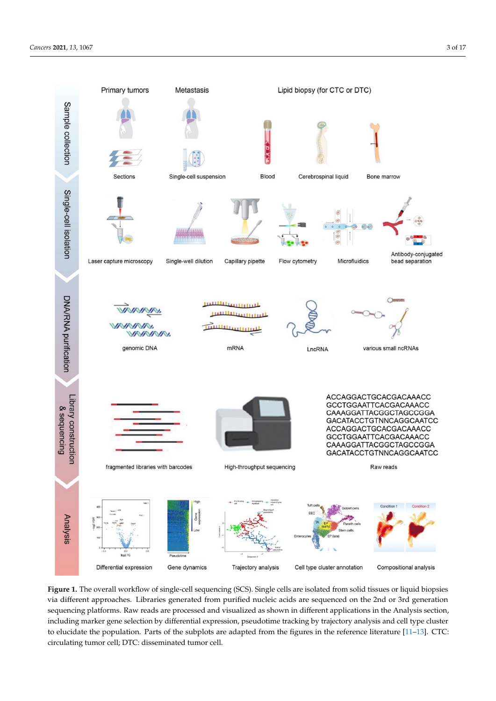<span id="page-2-0"></span>

Figure 1. The overall workflow of single-cell sequencing (SCS). Single cells are isolated from solid tissues or liquid biopsies via different approaches generated from purified the 2nd or 3rd generated from purified and distributed from purified  $\alpha$ via different approaches. Libraries generated from purified nucleic acids are sequenced on the 2nd or 3rd generation sequencing platforms. Raw reads are processed and visualized as shown in different applications in the Analysis section, including marker gene selection by differential expression, pseudotime tracking by trajectory analysis and cell type cluster to elucidate the population. Parts of the subplots are adapted from the figures in the reference literature [\[11–](#page-12-9)[13\]](#page-12-10). CTC: circulating tumor cell; DTC: disseminated tumor cell.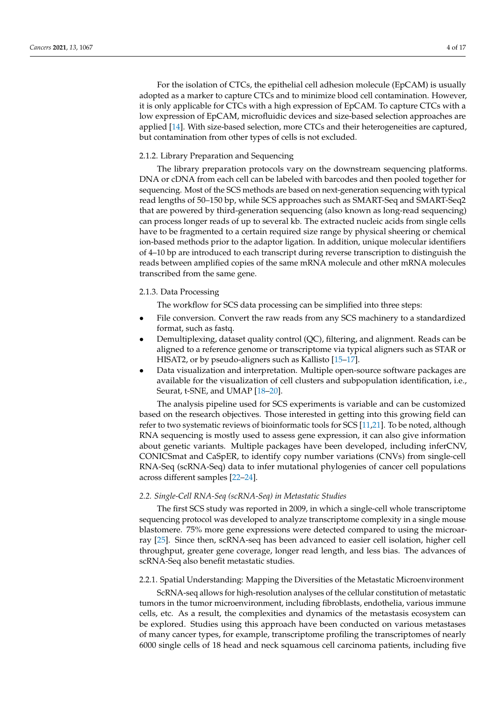For the isolation of CTCs, the epithelial cell adhesion molecule (EpCAM) is usually adopted as a marker to capture CTCs and to minimize blood cell contamination. However, it is only applicable for CTCs with a high expression of EpCAM. To capture CTCs with a low expression of EpCAM, microfluidic devices and size-based selection approaches are applied [\[14\]](#page-12-11). With size-based selection, more CTCs and their heterogeneities are captured, but contamination from other types of cells is not excluded.

# 2.1.2. Library Preparation and Sequencing

The library preparation protocols vary on the downstream sequencing platforms. DNA or cDNA from each cell can be labeled with barcodes and then pooled together for sequencing. Most of the SCS methods are based on next-generation sequencing with typical read lengths of 50–150 bp, while SCS approaches such as SMART-Seq and SMART-Seq2 that are powered by third-generation sequencing (also known as long-read sequencing) can process longer reads of up to several kb. The extracted nucleic acids from single cells have to be fragmented to a certain required size range by physical sheering or chemical ion-based methods prior to the adaptor ligation. In addition, unique molecular identifiers of 4–10 bp are introduced to each transcript during reverse transcription to distinguish the reads between amplified copies of the same mRNA molecule and other mRNA molecules transcribed from the same gene.

# 2.1.3. Data Processing

- The workflow for SCS data processing can be simplified into three steps:
- File conversion. Convert the raw reads from any SCS machinery to a standardized format, such as fastq.
- Demultiplexing, dataset quality control (QC), filtering, and alignment. Reads can be aligned to a reference genome or transcriptome via typical aligners such as STAR or HISAT2, or by pseudo-aligners such as Kallisto [\[15](#page-12-12)[–17\]](#page-12-13).
- Data visualization and interpretation. Multiple open-source software packages are available for the visualization of cell clusters and subpopulation identification, i.e., Seurat, t-SNE, and UMAP [\[18–](#page-12-14)[20\]](#page-12-15).

The analysis pipeline used for SCS experiments is variable and can be customized based on the research objectives. Those interested in getting into this growing field can refer to two systematic reviews of bioinformatic tools for SCS [\[11,](#page-12-9)[21\]](#page-12-16). To be noted, although RNA sequencing is mostly used to assess gene expression, it can also give information about genetic variants. Multiple packages have been developed, including inferCNV, CONICSmat and CaSpER, to identify copy number variations (CNVs) from single-cell RNA-Seq (scRNA-Seq) data to infer mutational phylogenies of cancer cell populations across different samples [\[22–](#page-12-17)[24\]](#page-12-18).

# *2.2. Single-Cell RNA-Seq (scRNA-Seq) in Metastatic Studies*

The first SCS study was reported in 2009, in which a single-cell whole transcriptome sequencing protocol was developed to analyze transcriptome complexity in a single mouse blastomere. 75% more gene expressions were detected compared to using the microarray [\[25\]](#page-12-19). Since then, scRNA-seq has been advanced to easier cell isolation, higher cell throughput, greater gene coverage, longer read length, and less bias. The advances of scRNA-Seq also benefit metastatic studies.

# 2.2.1. Spatial Understanding: Mapping the Diversities of the Metastatic Microenvironment

ScRNA-seq allows for high-resolution analyses of the cellular constitution of metastatic tumors in the tumor microenvironment, including fibroblasts, endothelia, various immune cells, etc. As a result, the complexities and dynamics of the metastasis ecosystem can be explored. Studies using this approach have been conducted on various metastases of many cancer types, for example, transcriptome profiling the transcriptomes of nearly 6000 single cells of 18 head and neck squamous cell carcinoma patients, including five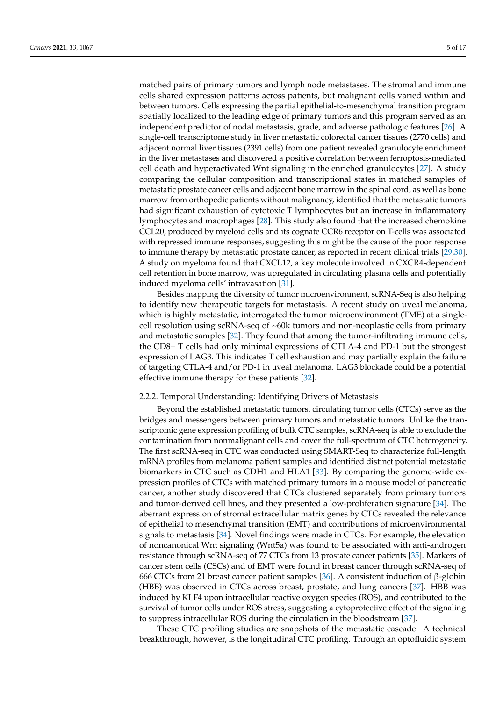matched pairs of primary tumors and lymph node metastases. The stromal and immune cells shared expression patterns across patients, but malignant cells varied within and between tumors. Cells expressing the partial epithelial-to-mesenchymal transition program spatially localized to the leading edge of primary tumors and this program served as an independent predictor of nodal metastasis, grade, and adverse pathologic features [\[26\]](#page-12-20). A single-cell transcriptome study in liver metastatic colorectal cancer tissues (2770 cells) and adjacent normal liver tissues (2391 cells) from one patient revealed granulocyte enrichment in the liver metastases and discovered a positive correlation between ferroptosis-mediated cell death and hyperactivated Wnt signaling in the enriched granulocytes [\[27\]](#page-13-0). A study comparing the cellular composition and transcriptional states in matched samples of metastatic prostate cancer cells and adjacent bone marrow in the spinal cord, as well as bone marrow from orthopedic patients without malignancy, identified that the metastatic tumors had significant exhaustion of cytotoxic T lymphocytes but an increase in inflammatory lymphocytes and macrophages [\[28\]](#page-13-1). This study also found that the increased chemokine CCL20, produced by myeloid cells and its cognate CCR6 receptor on T-cells was associated with repressed immune responses, suggesting this might be the cause of the poor response to immune therapy by metastatic prostate cancer, as reported in recent clinical trials [\[29](#page-13-2)[,30\]](#page-13-3). A study on myeloma found that CXCL12, a key molecule involved in CXCR4-dependent cell retention in bone marrow, was upregulated in circulating plasma cells and potentially induced myeloma cells' intravasation [\[31\]](#page-13-4).

Besides mapping the diversity of tumor microenvironment, scRNA-Seq is also helping to identify new therapeutic targets for metastasis. A recent study on uveal melanoma, which is highly metastatic, interrogated the tumor microenvironment (TME) at a singlecell resolution using scRNA-seq of  $~60k$  tumors and non-neoplastic cells from primary and metastatic samples [\[32\]](#page-13-5). They found that among the tumor-infiltrating immune cells, the CD8+ T cells had only minimal expressions of CTLA-4 and PD-1 but the strongest expression of LAG3. This indicates T cell exhaustion and may partially explain the failure of targeting CTLA-4 and/or PD-1 in uveal melanoma. LAG3 blockade could be a potential effective immune therapy for these patients [\[32\]](#page-13-5).

#### 2.2.2. Temporal Understanding: Identifying Drivers of Metastasis

Beyond the established metastatic tumors, circulating tumor cells (CTCs) serve as the bridges and messengers between primary tumors and metastatic tumors. Unlike the transcriptomic gene expression profiling of bulk CTC samples, scRNA-seq is able to exclude the contamination from nonmalignant cells and cover the full-spectrum of CTC heterogeneity. The first scRNA-seq in CTC was conducted using SMART-Seq to characterize full-length mRNA profiles from melanoma patient samples and identified distinct potential metastatic biomarkers in CTC such as CDH1 and HLA1 [\[33\]](#page-13-6). By comparing the genome-wide expression profiles of CTCs with matched primary tumors in a mouse model of pancreatic cancer, another study discovered that CTCs clustered separately from primary tumors and tumor-derived cell lines, and they presented a low-proliferation signature [\[34\]](#page-13-7). The aberrant expression of stromal extracellular matrix genes by CTCs revealed the relevance of epithelial to mesenchymal transition (EMT) and contributions of microenvironmental signals to metastasis [\[34\]](#page-13-7). Novel findings were made in CTCs. For example, the elevation of noncanonical Wnt signaling (Wnt5a) was found to be associated with anti-androgen resistance through scRNA-seq of 77 CTCs from 13 prostate cancer patients [\[35\]](#page-13-8). Markers of cancer stem cells (CSCs) and of EMT were found in breast cancer through scRNA-seq of 666 CTCs from 21 breast cancer patient samples [\[36\]](#page-13-9). A consistent induction of β-globin (HBB) was observed in CTCs across breast, prostate, and lung cancers [\[37\]](#page-13-10). HBB was induced by KLF4 upon intracellular reactive oxygen species (ROS), and contributed to the survival of tumor cells under ROS stress, suggesting a cytoprotective effect of the signaling to suppress intracellular ROS during the circulation in the bloodstream [\[37\]](#page-13-10).

These CTC profiling studies are snapshots of the metastatic cascade. A technical breakthrough, however, is the longitudinal CTC profiling. Through an optofluidic system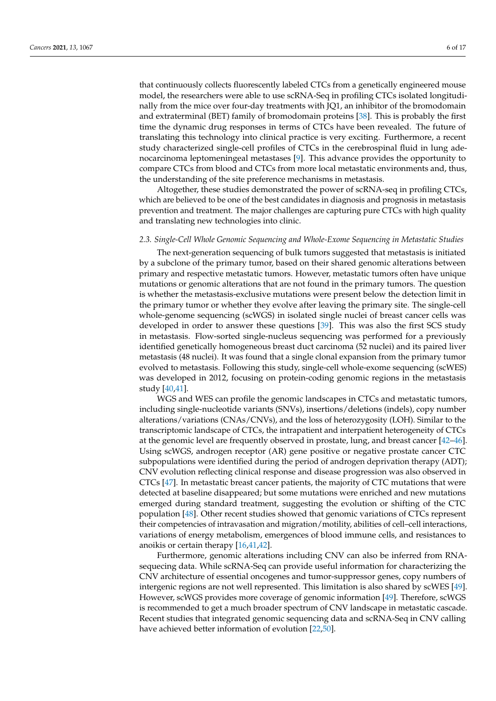that continuously collects fluorescently labeled CTCs from a genetically engineered mouse model, the researchers were able to use scRNA-Seq in profiling CTCs isolated longitudinally from the mice over four-day treatments with JQ1, an inhibitor of the bromodomain and extraterminal (BET) family of bromodomain proteins [\[38\]](#page-13-11). This is probably the first time the dynamic drug responses in terms of CTCs have been revealed. The future of translating this technology into clinical practice is very exciting. Furthermore, a recent study characterized single-cell profiles of CTCs in the cerebrospinal fluid in lung adenocarcinoma leptomeningeal metastases [\[9\]](#page-12-21). This advance provides the opportunity to compare CTCs from blood and CTCs from more local metastatic environments and, thus, the understanding of the site preference mechanisms in metastasis.

Altogether, these studies demonstrated the power of scRNA-seq in profiling CTCs, which are believed to be one of the best candidates in diagnosis and prognosis in metastasis prevention and treatment. The major challenges are capturing pure CTCs with high quality and translating new technologies into clinic.

#### *2.3. Single-Cell Whole Genomic Sequencing and Whole-Exome Sequencing in Metastatic Studies*

The next-generation sequencing of bulk tumors suggested that metastasis is initiated by a subclone of the primary tumor, based on their shared genomic alterations between primary and respective metastatic tumors. However, metastatic tumors often have unique mutations or genomic alterations that are not found in the primary tumors. The question is whether the metastasis-exclusive mutations were present below the detection limit in the primary tumor or whether they evolve after leaving the primary site. The single-cell whole-genome sequencing (scWGS) in isolated single nuclei of breast cancer cells was developed in order to answer these questions [\[39\]](#page-13-12). This was also the first SCS study in metastasis. Flow-sorted single-nucleus sequencing was performed for a previously identified genetically homogeneous breast duct carcinoma (52 nuclei) and its paired liver metastasis (48 nuclei). It was found that a single clonal expansion from the primary tumor evolved to metastasis. Following this study, single-cell whole-exome sequencing (scWES) was developed in 2012, focusing on protein-coding genomic regions in the metastasis study [\[40,](#page-13-13)[41\]](#page-13-14).

WGS and WES can profile the genomic landscapes in CTCs and metastatic tumors, including single-nucleotide variants (SNVs), insertions/deletions (indels), copy number alterations/variations (CNAs/CNVs), and the loss of heterozygosity (LOH). Similar to the transcriptomic landscape of CTCs, the intrapatient and interpatient heterogeneity of CTCs at the genomic level are frequently observed in prostate, lung, and breast cancer [\[42](#page-13-15)[–46\]](#page-13-16). Using scWGS, androgen receptor (AR) gene positive or negative prostate cancer CTC subpopulations were identified during the period of androgen deprivation therapy (ADT); CNV evolution reflecting clinical response and disease progression was also observed in CTCs [\[47\]](#page-13-17). In metastatic breast cancer patients, the majority of CTC mutations that were detected at baseline disappeared; but some mutations were enriched and new mutations emerged during standard treatment, suggesting the evolution or shifting of the CTC population [\[48\]](#page-14-0). Other recent studies showed that genomic variations of CTCs represent their competencies of intravasation and migration/motility, abilities of cell–cell interactions, variations of energy metabolism, emergences of blood immune cells, and resistances to anoikis or certain therapy [\[16](#page-12-22)[,41](#page-13-14)[,42\]](#page-13-15).

Furthermore, genomic alterations including CNV can also be inferred from RNAsequecing data. While scRNA-Seq can provide useful information for characterizing the CNV architecture of essential oncogenes and tumor-suppressor genes, copy numbers of intergenic regions are not well represented. This limitation is also shared by scWES [\[49\]](#page-14-1). However, scWGS provides more coverage of genomic information [\[49\]](#page-14-1). Therefore, scWGS is recommended to get a much broader spectrum of CNV landscape in metastatic cascade. Recent studies that integrated genomic sequencing data and scRNA-Seq in CNV calling have achieved better information of evolution [\[22](#page-12-17)[,50\]](#page-14-2).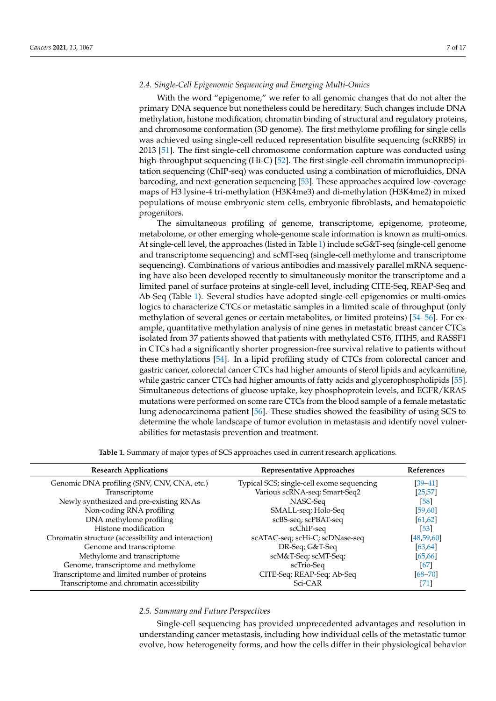# *2.4. Single-Cell Epigenomic Sequencing and Emerging Multi-Omics*

With the word "epigenome," we refer to all genomic changes that do not alter the primary DNA sequence but nonetheless could be hereditary. Such changes include DNA methylation, histone modification, chromatin binding of structural and regulatory proteins, and chromosome conformation (3D genome). The first methylome profiling for single cells was achieved using single-cell reduced representation bisulfite sequencing (scRRBS) in 2013 [\[51\]](#page-14-3). The first single-cell chromosome conformation capture was conducted using high-throughput sequencing (Hi-C) [\[52\]](#page-14-4). The first single-cell chromatin immunoprecipitation sequencing (ChIP-seq) was conducted using a combination of microfluidics, DNA barcoding, and next-generation sequencing [\[53\]](#page-14-5). These approaches acquired low-coverage maps of H3 lysine-4 tri-methylation (H3K4me3) and di-methylation (H3K4me2) in mixed populations of mouse embryonic stem cells, embryonic fibroblasts, and hematopoietic progenitors.

The simultaneous profiling of genome, transcriptome, epigenome, proteome, metabolome, or other emerging whole-genome scale information is known as multi-omics. At single-cell level, the approaches (listed in Table [1\)](#page-6-0) include scG&T-seq (single-cell genome and transcriptome sequencing) and scMT-seq (single-cell methylome and transcriptome sequencing). Combinations of various antibodies and massively parallel mRNA sequencing have also been developed recently to simultaneously monitor the transcriptome and a limited panel of surface proteins at single-cell level, including CITE-Seq, REAP-Seq and Ab-Seq (Table [1\)](#page-6-0). Several studies have adopted single-cell epigenomics or multi-omics logics to characterize CTCs or metastatic samples in a limited scale of throughput (only methylation of several genes or certain metabolites, or limited proteins) [\[54–](#page-14-6)[56\]](#page-14-7). For example, quantitative methylation analysis of nine genes in metastatic breast cancer CTCs isolated from 37 patients showed that patients with methylated CST6, ITIH5, and RASSF1 in CTCs had a significantly shorter progression-free survival relative to patients without these methylations [\[54\]](#page-14-6). In a lipid profiling study of CTCs from colorectal cancer and gastric cancer, colorectal cancer CTCs had higher amounts of sterol lipids and acylcarnitine, while gastric cancer CTCs had higher amounts of fatty acids and glycerophospholipids [\[55\]](#page-14-8). Simultaneous detections of glucose uptake, key phosphoprotein levels, and EGFR/KRAS mutations were performed on some rare CTCs from the blood sample of a female metastatic lung adenocarcinoma patient [\[56\]](#page-14-7). These studies showed the feasibility of using SCS to determine the whole landscape of tumor evolution in metastasis and identify novel vulnerabilities for metastasis prevention and treatment.

<span id="page-6-0"></span>

| <b>Research Applications</b>                        | Representative Approaches                 | References   |
|-----------------------------------------------------|-------------------------------------------|--------------|
| Genomic DNA profiling (SNV, CNV, CNA, etc.)         | Typical SCS; single-cell exome sequencing | $[39 - 41]$  |
| Transcriptome                                       | Various scRNA-seq; Smart-Seq2             | [25, 57]     |
| Newly synthesized and pre-existing RNAs             | NASC-Seq                                  | [58]         |
| Non-coding RNA profiling                            | SMALL-seq; Holo-Seq                       | [59, 60]     |
| DNA methylome profiling                             | scBS-seq; scPBAT-seq                      | [61, 62]     |
| Histone modification                                | scChIP-seq                                | [53]         |
| Chromatin structure (accessibility and interaction) | scATAC-seq; scHi-C; scDNase-seq           | [48, 59, 60] |
| Genome and transcriptome                            | DR-Seq; G&T-Seq                           | [63, 64]     |
| Methylome and transcriptome                         | scM&T-Seq scMT-Seq;                       | [65, 66]     |
| Genome, transcriptome and methylome                 | scTrio-Seq                                | [67]         |
| Transcriptome and limited number of proteins        | CITE-Seq; REAP-Seq; Ab-Seq                | $[68 - 70]$  |
| Transcriptome and chromatin accessibility           | Sci-CAR                                   | [71]         |

**Table 1.** Summary of major types of SCS approaches used in current research applications.

#### *2.5. Summary and Future Perspectives*

Single-cell sequencing has provided unprecedented advantages and resolution in understanding cancer metastasis, including how individual cells of the metastatic tumor evolve, how heterogeneity forms, and how the cells differ in their physiological behavior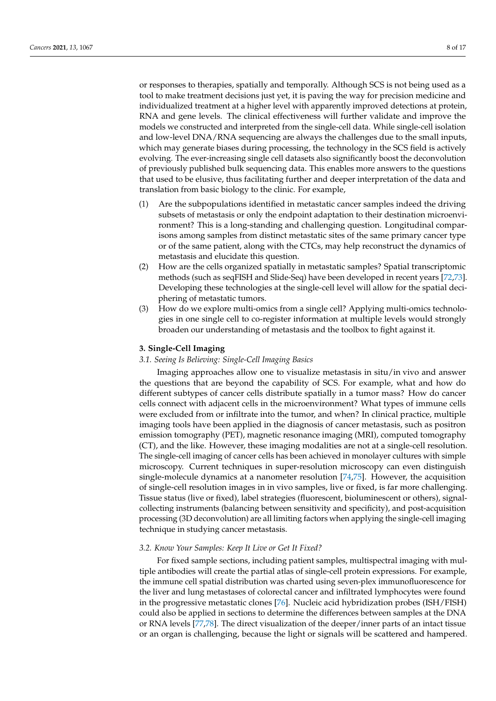or responses to therapies, spatially and temporally. Although SCS is not being used as a tool to make treatment decisions just yet, it is paving the way for precision medicine and individualized treatment at a higher level with apparently improved detections at protein, RNA and gene levels. The clinical effectiveness will further validate and improve the models we constructed and interpreted from the single-cell data. While single-cell isolation and low-level DNA/RNA sequencing are always the challenges due to the small inputs, which may generate biases during processing, the technology in the SCS field is actively evolving. The ever-increasing single cell datasets also significantly boost the deconvolution of previously published bulk sequencing data. This enables more answers to the questions that used to be elusive, thus facilitating further and deeper interpretation of the data and translation from basic biology to the clinic. For example,

- (1) Are the subpopulations identified in metastatic cancer samples indeed the driving subsets of metastasis or only the endpoint adaptation to their destination microenvironment? This is a long-standing and challenging question. Longitudinal comparisons among samples from distinct metastatic sites of the same primary cancer type or of the same patient, along with the CTCs, may help reconstruct the dynamics of metastasis and elucidate this question.
- (2) How are the cells organized spatially in metastatic samples? Spatial transcriptomic methods (such as seqFISH and Slide-Seq) have been developed in recent years [\[72](#page-14-23)[,73\]](#page-14-24). Developing these technologies at the single-cell level will allow for the spatial deciphering of metastatic tumors.
- (3) How do we explore multi-omics from a single cell? Applying multi-omics technologies in one single cell to co-register information at multiple levels would strongly broaden our understanding of metastasis and the toolbox to fight against it.

## **3. Single-Cell Imaging**

# *3.1. Seeing Is Believing: Single-Cell Imaging Basics*

Imaging approaches allow one to visualize metastasis in situ/in vivo and answer the questions that are beyond the capability of SCS. For example, what and how do different subtypes of cancer cells distribute spatially in a tumor mass? How do cancer cells connect with adjacent cells in the microenvironment? What types of immune cells were excluded from or infiltrate into the tumor, and when? In clinical practice, multiple imaging tools have been applied in the diagnosis of cancer metastasis, such as positron emission tomography (PET), magnetic resonance imaging (MRI), computed tomography (CT), and the like. However, these imaging modalities are not at a single-cell resolution. The single-cell imaging of cancer cells has been achieved in monolayer cultures with simple microscopy. Current techniques in super-resolution microscopy can even distinguish single-molecule dynamics at a nanometer resolution [\[74,](#page-15-0)[75\]](#page-15-1). However, the acquisition of single-cell resolution images in in vivo samples, live or fixed, is far more challenging. Tissue status (live or fixed), label strategies (fluorescent, bioluminescent or others), signalcollecting instruments (balancing between sensitivity and specificity), and post-acquisition processing (3D deconvolution) are all limiting factors when applying the single-cell imaging technique in studying cancer metastasis.

#### *3.2. Know Your Samples: Keep It Live or Get It Fixed?*

For fixed sample sections, including patient samples, multispectral imaging with multiple antibodies will create the partial atlas of single-cell protein expressions. For example, the immune cell spatial distribution was charted using seven-plex immunofluorescence for the liver and lung metastases of colorectal cancer and infiltrated lymphocytes were found in the progressive metastatic clones [\[76\]](#page-15-2). Nucleic acid hybridization probes (ISH/FISH) could also be applied in sections to determine the differences between samples at the DNA or RNA levels [\[77](#page-15-3)[,78\]](#page-15-4). The direct visualization of the deeper/inner parts of an intact tissue or an organ is challenging, because the light or signals will be scattered and hampered.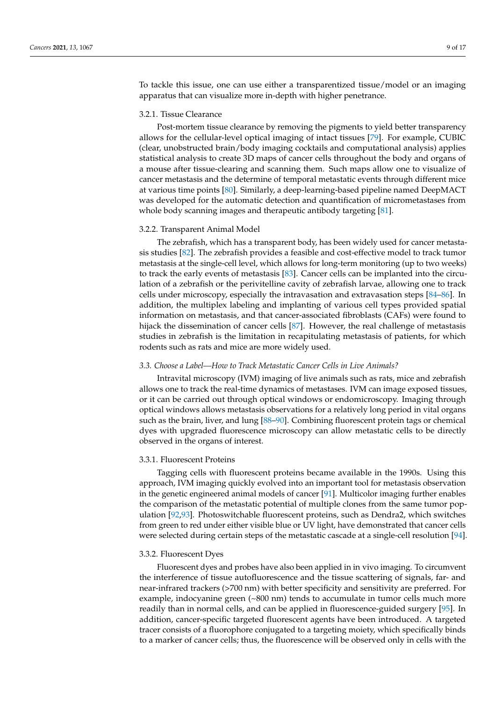To tackle this issue, one can use either a transparentized tissue/model or an imaging apparatus that can visualize more in-depth with higher penetrance.

## 3.2.1. Tissue Clearance

Post-mortem tissue clearance by removing the pigments to yield better transparency allows for the cellular-level optical imaging of intact tissues [\[79\]](#page-15-5). For example, CUBIC (clear, unobstructed brain/body imaging cocktails and computational analysis) applies statistical analysis to create 3D maps of cancer cells throughout the body and organs of a mouse after tissue-clearing and scanning them. Such maps allow one to visualize of cancer metastasis and the determine of temporal metastatic events through different mice at various time points [\[80\]](#page-15-6). Similarly, a deep-learning-based pipeline named DeepMACT was developed for the automatic detection and quantification of micrometastases from whole body scanning images and therapeutic antibody targeting [\[81\]](#page-15-7).

#### 3.2.2. Transparent Animal Model

The zebrafish, which has a transparent body, has been widely used for cancer metastasis studies [\[82\]](#page-15-8). The zebrafish provides a feasible and cost-effective model to track tumor metastasis at the single-cell level, which allows for long-term monitoring (up to two weeks) to track the early events of metastasis [\[83\]](#page-15-9). Cancer cells can be implanted into the circulation of a zebrafish or the perivitelline cavity of zebrafish larvae, allowing one to track cells under microscopy, especially the intravasation and extravasation steps [\[84–](#page-15-10)[86\]](#page-15-11). In addition, the multiplex labeling and implanting of various cell types provided spatial information on metastasis, and that cancer-associated fibroblasts (CAFs) were found to hijack the dissemination of cancer cells [\[87\]](#page-15-12). However, the real challenge of metastasis studies in zebrafish is the limitation in recapitulating metastasis of patients, for which rodents such as rats and mice are more widely used.

#### *3.3. Choose a Label—How to Track Metastatic Cancer Cells in Live Animals?*

Intravital microscopy (IVM) imaging of live animals such as rats, mice and zebrafish allows one to track the real-time dynamics of metastases. IVM can image exposed tissues, or it can be carried out through optical windows or endomicroscopy. Imaging through optical windows allows metastasis observations for a relatively long period in vital organs such as the brain, liver, and lung [\[88](#page-15-13)[–90\]](#page-15-14). Combining fluorescent protein tags or chemical dyes with upgraded fluorescence microscopy can allow metastatic cells to be directly observed in the organs of interest.

# 3.3.1. Fluorescent Proteins

Tagging cells with fluorescent proteins became available in the 1990s. Using this approach, IVM imaging quickly evolved into an important tool for metastasis observation in the genetic engineered animal models of cancer [\[91\]](#page-15-15). Multicolor imaging further enables the comparison of the metastatic potential of multiple clones from the same tumor population [\[92](#page-15-16)[,93\]](#page-15-17). Photoswitchable fluorescent proteins, such as Dendra2, which switches from green to red under either visible blue or UV light, have demonstrated that cancer cells were selected during certain steps of the metastatic cascade at a single-cell resolution [\[94\]](#page-15-18).

#### 3.3.2. Fluorescent Dyes

Fluorescent dyes and probes have also been applied in in vivo imaging. To circumvent the interference of tissue autofluorescence and the tissue scattering of signals, far- and near-infrared trackers (>700 nm) with better specificity and sensitivity are preferred. For example, indocyanine green (~800 nm) tends to accumulate in tumor cells much more readily than in normal cells, and can be applied in fluorescence-guided surgery [\[95\]](#page-15-19). In addition, cancer-specific targeted fluorescent agents have been introduced. A targeted tracer consists of a fluorophore conjugated to a targeting moiety, which specifically binds to a marker of cancer cells; thus, the fluorescence will be observed only in cells with the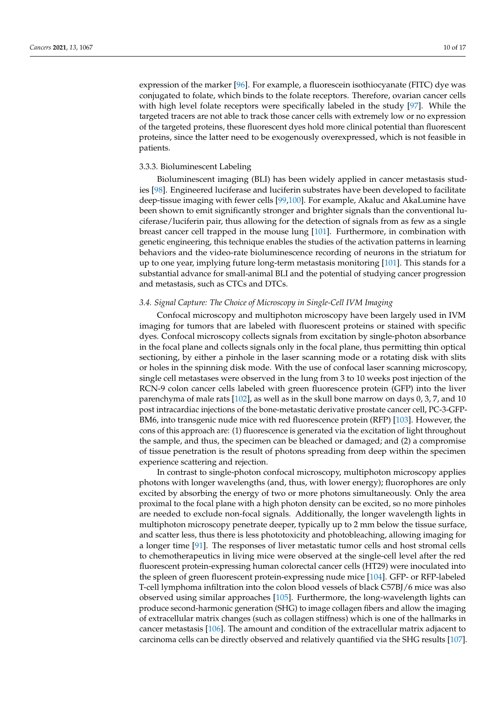expression of the marker [\[96\]](#page-15-20). For example, a fluorescein isothiocyanate (FITC) dye was conjugated to folate, which binds to the folate receptors. Therefore, ovarian cancer cells with high level folate receptors were specifically labeled in the study [\[97\]](#page-15-21). While the targeted tracers are not able to track those cancer cells with extremely low or no expression of the targeted proteins, these fluorescent dyes hold more clinical potential than fluorescent proteins, since the latter need to be exogenously overexpressed, which is not feasible in patients.

## 3.3.3. Bioluminescent Labeling

Bioluminescent imaging (BLI) has been widely applied in cancer metastasis studies [\[98\]](#page-15-22). Engineered luciferase and luciferin substrates have been developed to facilitate deep-tissue imaging with fewer cells [\[99](#page-15-23)[,100\]](#page-15-24). For example, Akaluc and AkaLumine have been shown to emit significantly stronger and brighter signals than the conventional luciferase/luciferin pair, thus allowing for the detection of signals from as few as a single breast cancer cell trapped in the mouse lung [\[101\]](#page-15-25). Furthermore, in combination with genetic engineering, this technique enables the studies of the activation patterns in learning behaviors and the video-rate bioluminescence recording of neurons in the striatum for up to one year, implying future long-term metastasis monitoring [\[101\]](#page-15-25). This stands for a substantial advance for small-animal BLI and the potential of studying cancer progression and metastasis, such as CTCs and DTCs.

## *3.4. Signal Capture: The Choice of Microscopy in Single-Cell IVM Imaging*

Confocal microscopy and multiphoton microscopy have been largely used in IVM imaging for tumors that are labeled with fluorescent proteins or stained with specific dyes. Confocal microscopy collects signals from excitation by single-photon absorbance in the focal plane and collects signals only in the focal plane, thus permitting thin optical sectioning, by either a pinhole in the laser scanning mode or a rotating disk with slits or holes in the spinning disk mode. With the use of confocal laser scanning microscopy, single cell metastases were observed in the lung from 3 to 10 weeks post injection of the RCN-9 colon cancer cells labeled with green fluorescence protein (GFP) into the liver parenchyma of male rats [\[102\]](#page-15-26), as well as in the skull bone marrow on days 0, 3, 7, and 10 post intracardiac injections of the bone-metastatic derivative prostate cancer cell, PC-3-GFP-BM6, into transgenic nude mice with red fluorescence protein (RFP) [\[103\]](#page-16-0). However, the cons of this approach are: (1) fluorescence is generated via the excitation of light throughout the sample, and thus, the specimen can be bleached or damaged; and (2) a compromise of tissue penetration is the result of photons spreading from deep within the specimen experience scattering and rejection.

In contrast to single-photon confocal microscopy, multiphoton microscopy applies photons with longer wavelengths (and, thus, with lower energy); fluorophores are only excited by absorbing the energy of two or more photons simultaneously. Only the area proximal to the focal plane with a high photon density can be excited, so no more pinholes are needed to exclude non-focal signals. Additionally, the longer wavelength lights in multiphoton microscopy penetrate deeper, typically up to 2 mm below the tissue surface, and scatter less, thus there is less phototoxicity and photobleaching, allowing imaging for a longer time [\[91\]](#page-15-15). The responses of liver metastatic tumor cells and host stromal cells to chemotherapeutics in living mice were observed at the single-cell level after the red fluorescent protein-expressing human colorectal cancer cells (HT29) were inoculated into the spleen of green fluorescent protein-expressing nude mice [\[104\]](#page-16-1). GFP- or RFP-labeled T-cell lymphoma infiltration into the colon blood vessels of black C57BJ/6 mice was also observed using similar approaches [\[105\]](#page-16-2). Furthermore, the long-wavelength lights can produce second-harmonic generation (SHG) to image collagen fibers and allow the imaging of extracellular matrix changes (such as collagen stiffness) which is one of the hallmarks in cancer metastasis [\[106\]](#page-16-3). The amount and condition of the extracellular matrix adjacent to carcinoma cells can be directly observed and relatively quantified via the SHG results [\[107\]](#page-16-4).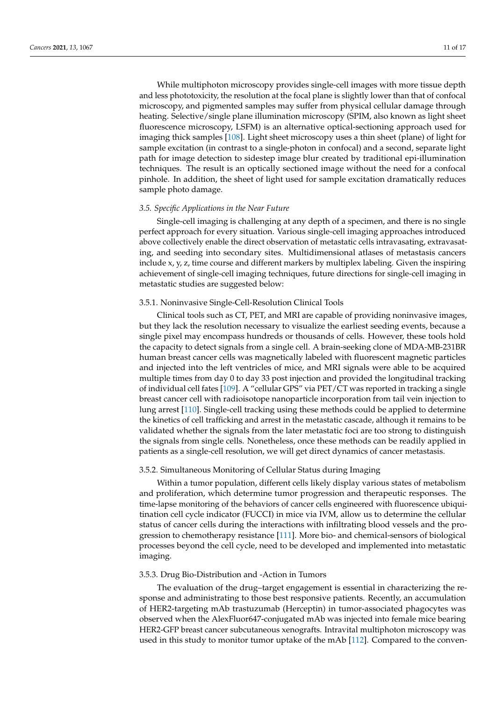While multiphoton microscopy provides single-cell images with more tissue depth and less phototoxicity, the resolution at the focal plane is slightly lower than that of confocal microscopy, and pigmented samples may suffer from physical cellular damage through heating. Selective/single plane illumination microscopy (SPIM, also known as light sheet fluorescence microscopy, LSFM) is an alternative optical-sectioning approach used for imaging thick samples [\[108\]](#page-16-5). Light sheet microscopy uses a thin sheet (plane) of light for sample excitation (in contrast to a single-photon in confocal) and a second, separate light path for image detection to sidestep image blur created by traditional epi-illumination techniques. The result is an optically sectioned image without the need for a confocal pinhole. In addition, the sheet of light used for sample excitation dramatically reduces sample photo damage.

#### *3.5. Specific Applications in the Near Future*

Single-cell imaging is challenging at any depth of a specimen, and there is no single perfect approach for every situation. Various single-cell imaging approaches introduced above collectively enable the direct observation of metastatic cells intravasating, extravasating, and seeding into secondary sites. Multidimensional atlases of metastasis cancers include x, y, z, time course and different markers by multiplex labeling. Given the inspiring achievement of single-cell imaging techniques, future directions for single-cell imaging in metastatic studies are suggested below:

## 3.5.1. Noninvasive Single-Cell-Resolution Clinical Tools

Clinical tools such as CT, PET, and MRI are capable of providing noninvasive images, but they lack the resolution necessary to visualize the earliest seeding events, because a single pixel may encompass hundreds or thousands of cells. However, these tools hold the capacity to detect signals from a single cell. A brain-seeking clone of MDA-MB-231BR human breast cancer cells was magnetically labeled with fluorescent magnetic particles and injected into the left ventricles of mice, and MRI signals were able to be acquired multiple times from day 0 to day 33 post injection and provided the longitudinal tracking of individual cell fates [\[109\]](#page-16-6). A "cellular GPS" via PET/CT was reported in tracking a single breast cancer cell with radioisotope nanoparticle incorporation from tail vein injection to lung arrest [\[110\]](#page-16-7). Single-cell tracking using these methods could be applied to determine the kinetics of cell trafficking and arrest in the metastatic cascade, although it remains to be validated whether the signals from the later metastatic foci are too strong to distinguish the signals from single cells. Nonetheless, once these methods can be readily applied in patients as a single-cell resolution, we will get direct dynamics of cancer metastasis.

# 3.5.2. Simultaneous Monitoring of Cellular Status during Imaging

Within a tumor population, different cells likely display various states of metabolism and proliferation, which determine tumor progression and therapeutic responses. The time-lapse monitoring of the behaviors of cancer cells engineered with fluorescence ubiquitination cell cycle indicator (FUCCI) in mice via IVM, allow us to determine the cellular status of cancer cells during the interactions with infiltrating blood vessels and the progression to chemotherapy resistance [\[111\]](#page-16-8). More bio- and chemical-sensors of biological processes beyond the cell cycle, need to be developed and implemented into metastatic imaging.

#### 3.5.3. Drug Bio-Distribution and -Action in Tumors

The evaluation of the drug–target engagement is essential in characterizing the response and administrating to those best responsive patients. Recently, an accumulation of HER2-targeting mAb trastuzumab (Herceptin) in tumor-associated phagocytes was observed when the AlexFluor647-conjugated mAb was injected into female mice bearing HER2-GFP breast cancer subcutaneous xenografts. Intravital multiphoton microscopy was used in this study to monitor tumor uptake of the mAb [\[112\]](#page-16-9). Compared to the conven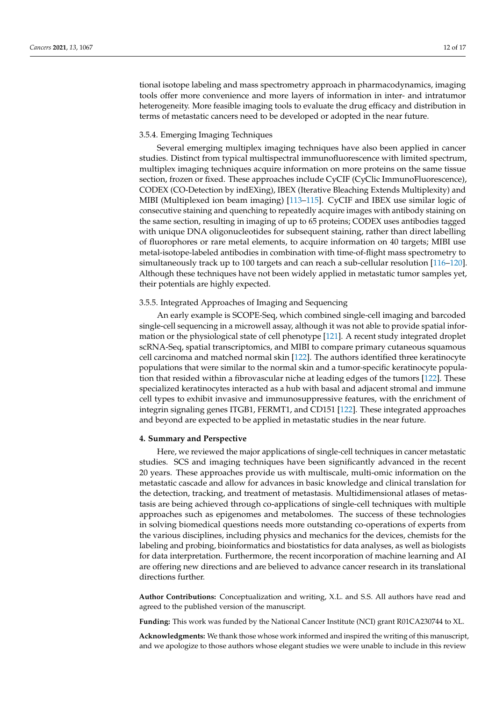tional isotope labeling and mass spectrometry approach in pharmacodynamics, imaging tools offer more convenience and more layers of information in inter- and intratumor heterogeneity. More feasible imaging tools to evaluate the drug efficacy and distribution in terms of metastatic cancers need to be developed or adopted in the near future.

## 3.5.4. Emerging Imaging Techniques

Several emerging multiplex imaging techniques have also been applied in cancer studies. Distinct from typical multispectral immunofluorescence with limited spectrum, multiplex imaging techniques acquire information on more proteins on the same tissue section, frozen or fixed. These approaches include CyCIF (CyClic ImmunoFluorescence), CODEX (CO-Detection by indEXing), IBEX (Iterative Bleaching Extends Multiplexity) and MIBI (Multiplexed ion beam imaging) [\[113–](#page-16-10)[115\]](#page-16-11). CyCIF and IBEX use similar logic of consecutive staining and quenching to repeatedly acquire images with antibody staining on the same section, resulting in imaging of up to 65 proteins; CODEX uses antibodies tagged with unique DNA oligonucleotides for subsequent staining, rather than direct labelling of fluorophores or rare metal elements, to acquire information on 40 targets; MIBI use metal-isotope-labeled antibodies in combination with time-of-flight mass spectrometry to simultaneously track up to 100 targets and can reach a sub-cellular resolution [\[116](#page-16-12)[–120\]](#page-16-13). Although these techniques have not been widely applied in metastatic tumor samples yet, their potentials are highly expected.

## 3.5.5. Integrated Approaches of Imaging and Sequencing

An early example is SCOPE-Seq, which combined single-cell imaging and barcoded single-cell sequencing in a microwell assay, although it was not able to provide spatial information or the physiological state of cell phenotype [\[121\]](#page-16-14). A recent study integrated droplet scRNA-Seq, spatial transcriptomics, and MIBI to compare primary cutaneous squamous cell carcinoma and matched normal skin [\[122\]](#page-16-15). The authors identified three keratinocyte populations that were similar to the normal skin and a tumor-specific keratinocyte population that resided within a fibrovascular niche at leading edges of the tumors [\[122\]](#page-16-15). These specialized keratinocytes interacted as a hub with basal and adjacent stromal and immune cell types to exhibit invasive and immunosuppressive features, with the enrichment of integrin signaling genes ITGB1, FERMT1, and CD151 [\[122\]](#page-16-15). These integrated approaches and beyond are expected to be applied in metastatic studies in the near future.

#### **4. Summary and Perspective**

Here, we reviewed the major applications of single-cell techniques in cancer metastatic studies. SCS and imaging techniques have been significantly advanced in the recent 20 years. These approaches provide us with multiscale, multi-omic information on the metastatic cascade and allow for advances in basic knowledge and clinical translation for the detection, tracking, and treatment of metastasis. Multidimensional atlases of metastasis are being achieved through co-applications of single-cell techniques with multiple approaches such as epigenomes and metabolomes. The success of these technologies in solving biomedical questions needs more outstanding co-operations of experts from the various disciplines, including physics and mechanics for the devices, chemists for the labeling and probing, bioinformatics and biostatistics for data analyses, as well as biologists for data interpretation. Furthermore, the recent incorporation of machine learning and AI are offering new directions and are believed to advance cancer research in its translational directions further.

**Author Contributions:** Conceptualization and writing, X.L. and S.S. All authors have read and agreed to the published version of the manuscript.

**Funding:** This work was funded by the National Cancer Institute (NCI) grant R01CA230744 to XL.

**Acknowledgments:** We thank those whose work informed and inspired the writing of this manuscript, and we apologize to those authors whose elegant studies we were unable to include in this review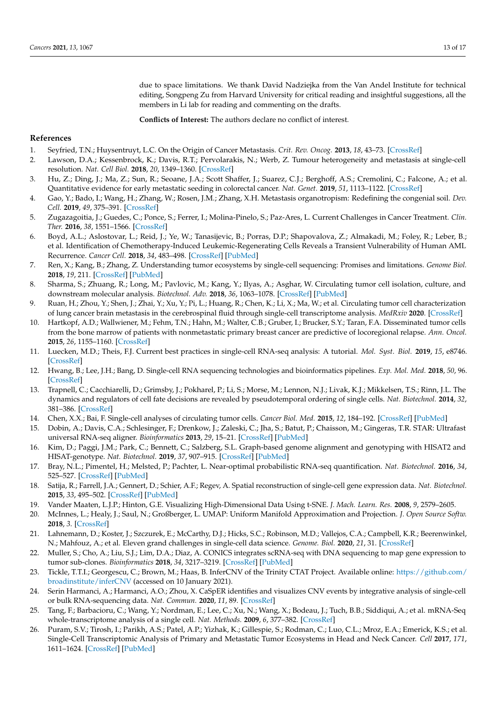due to space limitations. We thank David Nadziejka from the Van Andel Institute for technical editing, Songpeng Zu from Harvard University for critical reading and insightful suggestions, all the members in Li lab for reading and commenting on the drafts.

**Conflicts of Interest:** The authors declare no conflict of interest.

## **References**

- <span id="page-12-0"></span>1. Seyfried, T.N.; Huysentruyt, L.C. On the Origin of Cancer Metastasis. *Crit. Rev. Oncog.* **2013**, *18*, 43–73. [\[CrossRef\]](http://doi.org/10.1615/CritRevOncog.v18.i1-2.40)
- <span id="page-12-1"></span>2. Lawson, D.A.; Kessenbrock, K.; Davis, R.T.; Pervolarakis, N.; Werb, Z. Tumour heterogeneity and metastasis at single-cell resolution. *Nat. Cell Biol.* **2018**, *20*, 1349–1360. [\[CrossRef\]](http://doi.org/10.1038/s41556-018-0236-7)
- <span id="page-12-2"></span>3. Hu, Z.; Ding, J.; Ma, Z.; Sun, R.; Seoane, J.A.; Scott Shaffer, J.; Suarez, C.J.; Berghoff, A.S.; Cremolini, C.; Falcone, A.; et al. Quantitative evidence for early metastatic seeding in colorectal cancer. *Nat. Genet.* **2019**, *51*, 1113–1122. [\[CrossRef\]](http://doi.org/10.1038/s41588-019-0423-x)
- <span id="page-12-3"></span>4. Gao, Y.; Bado, I.; Wang, H.; Zhang, W.; Rosen, J.M.; Zhang, X.H. Metastasis organotropism: Redefining the congenial soil. *Dev. Cell.* **2019**, *49*, 375–391. [\[CrossRef\]](http://doi.org/10.1016/j.devcel.2019.04.012)
- <span id="page-12-4"></span>5. Zugazagoitia, J.; Guedes, C.; Ponce, S.; Ferrer, I.; Molina-Pinelo, S.; Paz-Ares, L. Current Challenges in Cancer Treatment. *Clin. Ther.* **2016**, *38*, 1551–1566. [\[CrossRef\]](http://doi.org/10.1016/j.clinthera.2016.03.026)
- <span id="page-12-5"></span>6. Boyd, A.L.; Aslostovar, L.; Reid, J.; Ye, W.; Tanasijevic, B.; Porras, D.P.; Shapovalova, Z.; Almakadi, M.; Foley, R.; Leber, B.; et al. Identification of Chemotherapy-Induced Leukemic-Regenerating Cells Reveals a Transient Vulnerability of Human AML Recurrence. *Cancer Cell.* **2018**, *34*, 483–498. [\[CrossRef\]](http://doi.org/10.1016/j.ccell.2018.08.007) [\[PubMed\]](http://www.ncbi.nlm.nih.gov/pubmed/30205048)
- <span id="page-12-6"></span>7. Ren, X.; Kang, B.; Zhang, Z. Understanding tumor ecosystems by single-cell sequencing: Promises and limitations. *Genome Biol.* **2018**, *19*, 211. [\[CrossRef\]](http://doi.org/10.1186/s13059-018-1593-z) [\[PubMed\]](http://www.ncbi.nlm.nih.gov/pubmed/30509292)
- <span id="page-12-7"></span>8. Sharma, S.; Zhuang, R.; Long, M.; Pavlovic, M.; Kang, Y.; Ilyas, A.; Asghar, W. Circulating tumor cell isolation, culture, and downstream molecular analysis. *Biotechnol. Adv.* **2018**, *36*, 1063–1078. [\[CrossRef\]](http://doi.org/10.1016/j.biotechadv.2018.03.007) [\[PubMed\]](http://www.ncbi.nlm.nih.gov/pubmed/29559380)
- <span id="page-12-21"></span>9. Ruan, H.; Zhou, Y.; Shen, J.; Zhai, Y.; Xu, Y.; Pi, L.; Huang, R.; Chen, K.; Li, X.; Ma, W.; et al. Circulating tumor cell characterization of lung cancer brain metastasis in the cerebrospinal fluid through single-cell transcriptome analysis. *MedRxiv* **2020**. [\[CrossRef\]](http://doi.org/10.1186/s13059-018-1593-z)
- <span id="page-12-8"></span>10. Hartkopf, A.D.; Wallwiener, M.; Fehm, T.N.; Hahn, M.; Walter, C.B.; Gruber, I.; Brucker, S.Y.; Taran, F.A. Disseminated tumor cells from the bone marrow of patients with nonmetastatic primary breast cancer are predictive of locoregional relapse. *Ann. Oncol.* **2015**, *26*, 1155–1160. [\[CrossRef\]](http://doi.org/10.1093/annonc/mdv148)
- <span id="page-12-9"></span>11. Luecken, M.D.; Theis, F.J. Current best practices in single-cell RNA-seq analysis: A tutorial. *Mol. Syst. Biol.* **2019**, *15*, e8746. [\[CrossRef\]](http://doi.org/10.15252/msb.20188746)
- 12. Hwang, B.; Lee, J.H.; Bang, D. Single-cell RNA sequencing technologies and bioinformatics pipelines. *Exp. Mol. Med.* **2018**, *50*, 96. [\[CrossRef\]](http://doi.org/10.1038/s12276-018-0071-8)
- <span id="page-12-10"></span>13. Trapnell, C.; Cacchiarelli, D.; Grimsby, J.; Pokharel, P.; Li, S.; Morse, M.; Lennon, N.J.; Livak, K.J.; Mikkelsen, T.S.; Rinn, J.L. The dynamics and regulators of cell fate decisions are revealed by pseudotemporal ordering of single cells. *Nat. Biotechnol.* **2014**, *32*, 381–386. [\[CrossRef\]](http://doi.org/10.1038/nbt.2859)
- <span id="page-12-11"></span>14. Chen, X.X.; Bai, F. Single-cell analyses of circulating tumor cells. *Cancer Biol. Med.* **2015**, *12*, 184–192. [\[CrossRef\]](http://doi.org/10.7497/j.issn.2095-3941.2015.0056) [\[PubMed\]](http://www.ncbi.nlm.nih.gov/pubmed/26487963)
- <span id="page-12-12"></span>15. Dobin, A.; Davis, C.A.; Schlesinger, F.; Drenkow, J.; Zaleski, C.; Jha, S.; Batut, P.; Chaisson, M.; Gingeras, T.R. STAR: Ultrafast universal RNA-seq aligner. *Bioinformatics* **2013**, *29*, 15–21. [\[CrossRef\]](http://doi.org/10.1093/bioinformatics/bts635) [\[PubMed\]](http://www.ncbi.nlm.nih.gov/pubmed/23104886)
- <span id="page-12-22"></span>16. Kim, D.; Paggi, J.M.; Park, C.; Bennett, C.; Salzberg, S.L. Graph-based genome alignment and genotyping with HISAT2 and HISAT-genotype. *Nat. Biotechnol.* **2019**, *37*, 907–915. [\[CrossRef\]](http://doi.org/10.1038/s41587-019-0201-4) [\[PubMed\]](http://www.ncbi.nlm.nih.gov/pubmed/31375807)
- <span id="page-12-13"></span>17. Bray, N.L.; Pimentel, H.; Melsted, P.; Pachter, L. Near-optimal probabilistic RNA-seq quantification. *Nat. Biotechnol.* **2016**, *34*, 525–527. [\[CrossRef\]](http://doi.org/10.1038/nbt.3519) [\[PubMed\]](http://www.ncbi.nlm.nih.gov/pubmed/27043002)
- <span id="page-12-14"></span>18. Satija, R.; Farrell, J.A.; Gennert, D.; Schier, A.F.; Regev, A. Spatial reconstruction of single-cell gene expression data. *Nat. Biotechnol.* **2015**, *33*, 495–502. [\[CrossRef\]](http://doi.org/10.1038/nbt.3192) [\[PubMed\]](http://www.ncbi.nlm.nih.gov/pubmed/25867923)
- 19. Vander Maaten, L.J.P.; Hinton, G.E. Visualizing High-Dimensional Data Using t-SNE. *J. Mach. Learn. Res.* **2008**, *9*, 2579–2605.
- <span id="page-12-15"></span>20. McInnes, L.; Healy, J.; Saul, N.; Großberger, L. UMAP: Uniform Manifold Approximation and Projection. *J. Open Source Softw.* **2018**, *3*. [\[CrossRef\]](http://doi.org/10.21105/joss.00861)
- <span id="page-12-16"></span>21. Lahnemann, D.; Koster, J.; Szczurek, E.; McCarthy, D.J.; Hicks, S.C.; Robinson, M.D.; Vallejos, C.A.; Campbell, K.R.; Beerenwinkel, N.; Mahfouz, A.; et al. Eleven grand challenges in single-cell data science. *Genome. Biol.* **2020**, *21*, 31. [\[CrossRef\]](http://doi.org/10.1186/s13059-020-1926-6)
- <span id="page-12-17"></span>22. Muller, S.; Cho, A.; Liu, S.J.; Lim, D.A.; Diaz, A. CONICS integrates scRNA-seq with DNA sequencing to map gene expression to tumor sub-clones. *Bioinformatics* **2018**, *34*, 3217–3219. [\[CrossRef\]](http://doi.org/10.1093/bioinformatics/bty316) [\[PubMed\]](http://www.ncbi.nlm.nih.gov/pubmed/29897414)
- 23. Tickle, T.T.I.; Georgescu, C.; Brown, M.; Haas, B. InferCNV of the Trinity CTAT Project. Available online: [https://github.com/](https://github.com/broadinstitute/inferCNV) [broadinstitute/inferCNV](https://github.com/broadinstitute/inferCNV) (accessed on 10 January 2021).
- <span id="page-12-18"></span>24. Serin Harmanci, A.; Harmanci, A.O.; Zhou, X. CaSpER identifies and visualizes CNV events by integrative analysis of single-cell or bulk RNA-sequencing data. *Nat. Commun.* **2020**, *11*, 89. [\[CrossRef\]](http://doi.org/10.1038/s41467-019-13779-x)
- <span id="page-12-19"></span>25. Tang, F.; Barbacioru, C.; Wang, Y.; Nordman, E.; Lee, C.; Xu, N.; Wang, X.; Bodeau, J.; Tuch, B.B.; Siddiqui, A.; et al. mRNA-Seq whole-transcriptome analysis of a single cell. *Nat. Methods.* **2009**, *6*, 377–382. [\[CrossRef\]](http://doi.org/10.1038/nmeth.1315)
- <span id="page-12-20"></span>26. Puram, S.V.; Tirosh, I.; Parikh, A.S.; Patel, A.P.; Yizhak, K.; Gillespie, S.; Rodman, C.; Luo, C.L.; Mroz, E.A.; Emerick, K.S.; et al. Single-Cell Transcriptomic Analysis of Primary and Metastatic Tumor Ecosystems in Head and Neck Cancer. *Cell* **2017**, *171*, 1611–1624. [\[CrossRef\]](http://doi.org/10.1016/j.cell.2017.10.044) [\[PubMed\]](http://www.ncbi.nlm.nih.gov/pubmed/29198524)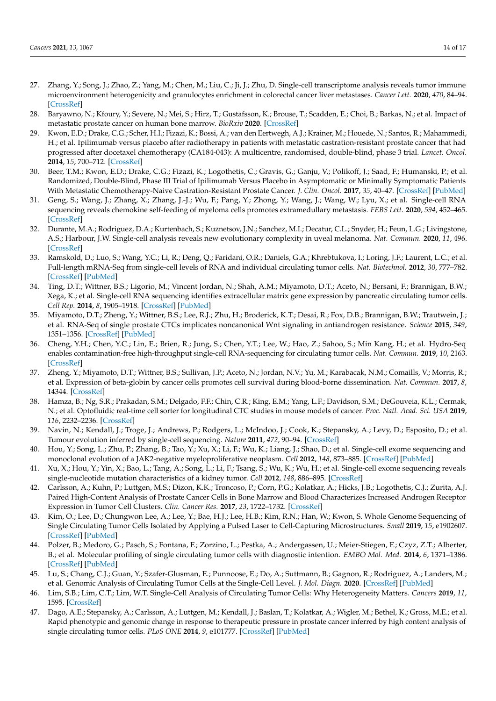- <span id="page-13-0"></span>27. Zhang, Y.; Song, J.; Zhao, Z.; Yang, M.; Chen, M.; Liu, C.; Ji, J.; Zhu, D. Single-cell transcriptome analysis reveals tumor immune microenvironment heterogenicity and granulocytes enrichment in colorectal cancer liver metastases. *Cancer Lett.* **2020**, *470*, 84–94. [\[CrossRef\]](http://doi.org/10.1016/j.canlet.2019.10.016)
- <span id="page-13-1"></span>28. Baryawno, N.; Kfoury, Y.; Severe, N.; Mei, S.; Hirz, T.; Gustafsson, K.; Brouse, T.; Scadden, E.; Choi, B.; Barkas, N.; et al. Impact of metastatic prostate cancer on human bone marrow. *BioRxiv* **2020**. [\[CrossRef\]](http://doi.org/10.1101/2020.03.19.998658)
- <span id="page-13-2"></span>29. Kwon, E.D.; Drake, C.G.; Scher, H.I.; Fizazi, K.; Bossi, A.; van den Eertwegh, A.J.; Krainer, M.; Houede, N.; Santos, R.; Mahammedi, H.; et al. Ipilimumab versus placebo after radiotherapy in patients with metastatic castration-resistant prostate cancer that had progressed after docetaxel chemotherapy (CA184-043): A multicentre, randomised, double-blind, phase 3 trial. *Lancet. Oncol.* **2014**, *15*, 700–712. [\[CrossRef\]](http://doi.org/10.1016/S1470-2045(14)70189-5)
- <span id="page-13-3"></span>30. Beer, T.M.; Kwon, E.D.; Drake, C.G.; Fizazi, K.; Logothetis, C.; Gravis, G.; Ganju, V.; Polikoff, J.; Saad, F.; Humanski, P.; et al. Randomized, Double-Blind, Phase III Trial of Ipilimumab Versus Placebo in Asymptomatic or Minimally Symptomatic Patients With Metastatic Chemotherapy-Naive Castration-Resistant Prostate Cancer. *J. Clin. Oncol.* **2017**, *35*, 40–47. [\[CrossRef\]](http://doi.org/10.1200/JCO.2016.69.1584) [\[PubMed\]](http://www.ncbi.nlm.nih.gov/pubmed/28034081)
- <span id="page-13-4"></span>31. Geng, S.; Wang, J.; Zhang, X.; Zhang, J.-J.; Wu, F.; Pang, Y.; Zhong, Y.; Wang, J.; Wang, W.; Lyu, X.; et al. Single-cell RNA sequencing reveals chemokine self-feeding of myeloma cells promotes extramedullary metastasis. *FEBS Lett.* **2020**, *594*, 452–465. [\[CrossRef\]](http://doi.org/10.1002/1873-3468.13623)
- <span id="page-13-5"></span>32. Durante, M.A.; Rodriguez, D.A.; Kurtenbach, S.; Kuznetsov, J.N.; Sanchez, M.I.; Decatur, C.L.; Snyder, H.; Feun, L.G.; Livingstone, A.S.; Harbour, J.W. Single-cell analysis reveals new evolutionary complexity in uveal melanoma. *Nat. Commun.* **2020**, *11*, 496. [\[CrossRef\]](http://doi.org/10.1038/s41467-019-14256-1)
- <span id="page-13-6"></span>33. Ramskold, D.; Luo, S.; Wang, Y.C.; Li, R.; Deng, Q.; Faridani, O.R.; Daniels, G.A.; Khrebtukova, I.; Loring, J.F.; Laurent, L.C.; et al. Full-length mRNA-Seq from single-cell levels of RNA and individual circulating tumor cells. *Nat. Biotechnol.* **2012**, *30*, 777–782. [\[CrossRef\]](http://doi.org/10.1038/nbt.2282) [\[PubMed\]](http://www.ncbi.nlm.nih.gov/pubmed/22820318)
- <span id="page-13-7"></span>34. Ting, D.T.; Wittner, B.S.; Ligorio, M.; Vincent Jordan, N.; Shah, A.M.; Miyamoto, D.T.; Aceto, N.; Bersani, F.; Brannigan, B.W.; Xega, K.; et al. Single-cell RNA sequencing identifies extracellular matrix gene expression by pancreatic circulating tumor cells. *Cell Rep.* **2014**, *8*, 1905–1918. [\[CrossRef\]](http://doi.org/10.1016/j.celrep.2014.08.029) [\[PubMed\]](http://www.ncbi.nlm.nih.gov/pubmed/25242334)
- <span id="page-13-8"></span>35. Miyamoto, D.T.; Zheng, Y.; Wittner, B.S.; Lee, R.J.; Zhu, H.; Broderick, K.T.; Desai, R.; Fox, D.B.; Brannigan, B.W.; Trautwein, J.; et al. RNA-Seq of single prostate CTCs implicates noncanonical Wnt signaling in antiandrogen resistance. *Science* **2015**, *349*, 1351–1356. [\[CrossRef\]](http://doi.org/10.1126/science.aab0917) [\[PubMed\]](http://www.ncbi.nlm.nih.gov/pubmed/26383955)
- <span id="page-13-9"></span>36. Cheng, Y.H.; Chen, Y.C.; Lin, E.; Brien, R.; Jung, S.; Chen, Y.T.; Lee, W.; Hao, Z.; Sahoo, S.; Min Kang, H.; et al. Hydro-Seq enables contamination-free high-throughput single-cell RNA-sequencing for circulating tumor cells. *Nat. Commun.* **2019**, *10*, 2163. [\[CrossRef\]](http://doi.org/10.1038/s41467-019-10122-2)
- <span id="page-13-10"></span>37. Zheng, Y.; Miyamoto, D.T.; Wittner, B.S.; Sullivan, J.P.; Aceto, N.; Jordan, N.V.; Yu, M.; Karabacak, N.M.; Comaills, V.; Morris, R.; et al. Expression of beta-globin by cancer cells promotes cell survival during blood-borne dissemination. *Nat. Commun.* **2017**, *8*, 14344. [\[CrossRef\]](http://doi.org/10.1038/ncomms14344)
- <span id="page-13-11"></span>38. Hamza, B.; Ng, S.R.; Prakadan, S.M.; Delgado, F.F.; Chin, C.R.; King, E.M.; Yang, L.F.; Davidson, S.M.; DeGouveia, K.L.; Cermak, N.; et al. Optofluidic real-time cell sorter for longitudinal CTC studies in mouse models of cancer. *Proc. Natl. Acad. Sci. USA* **2019**, *116*, 2232–2236. [\[CrossRef\]](http://doi.org/10.1073/pnas.1814102116)
- <span id="page-13-12"></span>39. Navin, N.; Kendall, J.; Troge, J.; Andrews, P.; Rodgers, L.; McIndoo, J.; Cook, K.; Stepansky, A.; Levy, D.; Esposito, D.; et al. Tumour evolution inferred by single-cell sequencing. *Nature* **2011**, *472*, 90–94. [\[CrossRef\]](http://doi.org/10.1038/nature09807)
- <span id="page-13-13"></span>40. Hou, Y.; Song, L.; Zhu, P.; Zhang, B.; Tao, Y.; Xu, X.; Li, F.; Wu, K.; Liang, J.; Shao, D.; et al. Single-cell exome sequencing and monoclonal evolution of a JAK2-negative myeloproliferative neoplasm. *Cell* **2012**, *148*, 873–885. [\[CrossRef\]](http://doi.org/10.1016/j.cell.2012.02.028) [\[PubMed\]](http://www.ncbi.nlm.nih.gov/pubmed/22385957)
- <span id="page-13-14"></span>41. Xu, X.; Hou, Y.; Yin, X.; Bao, L.; Tang, A.; Song, L.; Li, F.; Tsang, S.; Wu, K.; Wu, H.; et al. Single-cell exome sequencing reveals single-nucleotide mutation characteristics of a kidney tumor. *Cell* **2012**, *148*, 886–895. [\[CrossRef\]](http://doi.org/10.1016/j.cell.2012.02.025)
- <span id="page-13-15"></span>42. Carlsson, A.; Kuhn, P.; Luttgen, M.S.; Dizon, K.K.; Troncoso, P.; Corn, P.G.; Kolatkar, A.; Hicks, J.B.; Logothetis, C.J.; Zurita, A.J. Paired High-Content Analysis of Prostate Cancer Cells in Bone Marrow and Blood Characterizes Increased Androgen Receptor Expression in Tumor Cell Clusters. *Clin. Cancer Res.* **2017**, *23*, 1722–1732. [\[CrossRef\]](http://doi.org/10.1158/1078-0432.CCR-16-1355)
- 43. Kim, O.; Lee, D.; Chungwon Lee, A.; Lee, Y.; Bae, H.J.; Lee, H.B.; Kim, R.N.; Han, W.; Kwon, S. Whole Genome Sequencing of Single Circulating Tumor Cells Isolated by Applying a Pulsed Laser to Cell-Capturing Microstructures. *Small* **2019**, *15*, e1902607. [\[CrossRef\]](http://doi.org/10.1002/smll.201902607) [\[PubMed\]](http://www.ncbi.nlm.nih.gov/pubmed/31240868)
- 44. Polzer, B.; Medoro, G.; Pasch, S.; Fontana, F.; Zorzino, L.; Pestka, A.; Andergassen, U.; Meier-Stiegen, F.; Czyz, Z.T.; Alberter, B.; et al. Molecular profiling of single circulating tumor cells with diagnostic intention. *EMBO Mol. Med.* **2014**, *6*, 1371–1386. [\[CrossRef\]](http://doi.org/10.15252/emmm.201404033) [\[PubMed\]](http://www.ncbi.nlm.nih.gov/pubmed/25358515)
- 45. Lu, S.; Chang, C.J.; Guan, Y.; Szafer-Glusman, E.; Punnoose, E.; Do, A.; Suttmann, B.; Gagnon, R.; Rodriguez, A.; Landers, M.; et al. Genomic Analysis of Circulating Tumor Cells at the Single-Cell Level. *J. Mol. Diagn.* **2020**. [\[CrossRef\]](http://doi.org/10.1016/j.jmoldx.2020.02.013) [\[PubMed\]](http://www.ncbi.nlm.nih.gov/pubmed/32247862)
- <span id="page-13-16"></span>46. Lim, S.B.; Lim, C.T.; Lim, W.T. Single-Cell Analysis of Circulating Tumor Cells: Why Heterogeneity Matters. *Cancers* **2019**, *11*, 1595. [\[CrossRef\]](http://doi.org/10.3390/cancers11101595)
- <span id="page-13-17"></span>47. Dago, A.E.; Stepansky, A.; Carlsson, A.; Luttgen, M.; Kendall, J.; Baslan, T.; Kolatkar, A.; Wigler, M.; Bethel, K.; Gross, M.E.; et al. Rapid phenotypic and genomic change in response to therapeutic pressure in prostate cancer inferred by high content analysis of single circulating tumor cells. *PLoS ONE* **2014**, *9*, e101777. [\[CrossRef\]](http://doi.org/10.1371/journal.pone.0101777) [\[PubMed\]](http://www.ncbi.nlm.nih.gov/pubmed/25084170)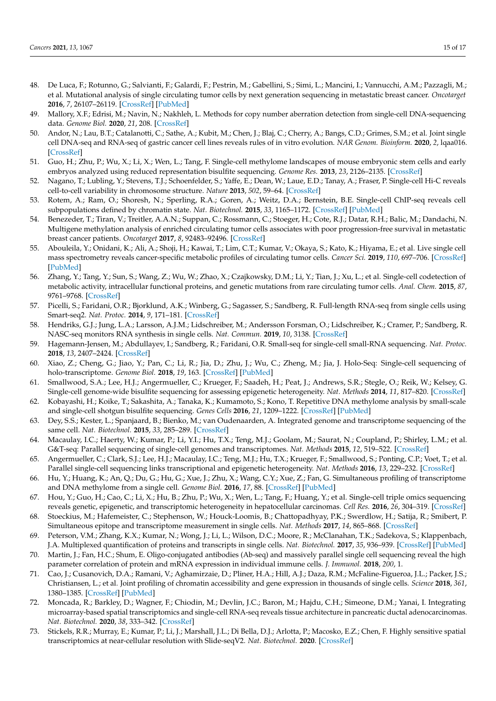- <span id="page-14-0"></span>48. De Luca, F.; Rotunno, G.; Salvianti, F.; Galardi, F.; Pestrin, M.; Gabellini, S.; Simi, L.; Mancini, I.; Vannucchi, A.M.; Pazzagli, M.; et al. Mutational analysis of single circulating tumor cells by next generation sequencing in metastatic breast cancer. *Oncotarget* **2016**, *7*, 26107–26119. [\[CrossRef\]](http://doi.org/10.18632/oncotarget.8431) [\[PubMed\]](http://www.ncbi.nlm.nih.gov/pubmed/27034166)
- <span id="page-14-1"></span>49. Mallory, X.F.; Edrisi, M.; Navin, N.; Nakhleh, L. Methods for copy number aberration detection from single-cell DNA-sequencing data. *Genome Biol.* **2020**, *21*, 208. [\[CrossRef\]](http://doi.org/10.1186/s13059-020-02119-8)
- <span id="page-14-2"></span>50. Andor, N.; Lau, B.T.; Catalanotti, C.; Sathe, A.; Kubit, M.; Chen, J.; Blaj, C.; Cherry, A.; Bangs, C.D.; Grimes, S.M.; et al. Joint single cell DNA-seq and RNA-seq of gastric cancer cell lines reveals rules of in vitro evolution. *NAR Genom. Bioinform.* **2020**, *2*, lqaa016. [\[CrossRef\]](http://doi.org/10.1093/nargab/lqaa016)
- <span id="page-14-3"></span>51. Guo, H.; Zhu, P.; Wu, X.; Li, X.; Wen, L.; Tang, F. Single-cell methylome landscapes of mouse embryonic stem cells and early embryos analyzed using reduced representation bisulfite sequencing. *Genome Res.* **2013**, *23*, 2126–2135. [\[CrossRef\]](http://doi.org/10.1101/gr.161679.113)
- <span id="page-14-4"></span>52. Nagano, T.; Lubling, Y.; Stevens, T.J.; Schoenfelder, S.; Yaffe, E.; Dean, W.; Laue, E.D.; Tanay, A.; Fraser, P. Single-cell Hi-C reveals cell-to-cell variability in chromosome structure. *Nature* **2013**, *502*, 59–64. [\[CrossRef\]](http://doi.org/10.1038/nature12593)
- <span id="page-14-5"></span>53. Rotem, A.; Ram, O.; Shoresh, N.; Sperling, R.A.; Goren, A.; Weitz, D.A.; Bernstein, B.E. Single-cell ChIP-seq reveals cell subpopulations defined by chromatin state. *Nat. Biotechnol.* **2015**, *33*, 1165–1172. [\[CrossRef\]](http://doi.org/10.1038/nbt.3383) [\[PubMed\]](http://www.ncbi.nlm.nih.gov/pubmed/26458175)
- <span id="page-14-6"></span>54. Benezeder, T.; Tiran, V.; Treitler, A.A.N.; Suppan, C.; Rossmann, C.; Stoeger, H.; Cote, R.J.; Datar, R.H.; Balic, M.; Dandachi, N. Multigene methylation analysis of enriched circulating tumor cells associates with poor progression-free survival in metastatic breast cancer patients. *Oncotarget* **2017**, *8*, 92483–92496. [\[CrossRef\]](http://doi.org/10.18632/oncotarget.21426)
- <span id="page-14-8"></span>55. Abouleila, Y.; Onidani, K.; Ali, A.; Shoji, H.; Kawai, T.; Lim, C.T.; Kumar, V.; Okaya, S.; Kato, K.; Hiyama, E.; et al. Live single cell mass spectrometry reveals cancer-specific metabolic profiles of circulating tumor cells. *Cancer Sci.* **2019**, *110*, 697–706. [\[CrossRef\]](http://doi.org/10.1111/cas.13915) [\[PubMed\]](http://www.ncbi.nlm.nih.gov/pubmed/30549153)
- <span id="page-14-7"></span>56. Zhang, Y.; Tang, Y.; Sun, S.; Wang, Z.; Wu, W.; Zhao, X.; Czajkowsky, D.M.; Li, Y.; Tian, J.; Xu, L.; et al. Single-cell codetection of metabolic activity, intracellular functional proteins, and genetic mutations from rare circulating tumor cells. *Anal. Chem.* **2015**, *87*, 9761–9768. [\[CrossRef\]](http://doi.org/10.1021/acs.analchem.5b01901)
- <span id="page-14-9"></span>57. Picelli, S.; Faridani, O.R.; Bjorklund, A.K.; Winberg, G.; Sagasser, S.; Sandberg, R. Full-length RNA-seq from single cells using Smart-seq2. *Nat. Protoc.* **2014**, *9*, 171–181. [\[CrossRef\]](http://doi.org/10.1038/nprot.2014.006)
- <span id="page-14-10"></span>58. Hendriks, G.J.; Jung, L.A.; Larsson, A.J.M.; Lidschreiber, M.; Andersson Forsman, O.; Lidschreiber, K.; Cramer, P.; Sandberg, R. NASC-seq monitors RNA synthesis in single cells. *Nat. Commun.* **2019**, *10*, 3138. [\[CrossRef\]](http://doi.org/10.1038/s41467-019-11028-9)
- <span id="page-14-11"></span>59. Hagemann-Jensen, M.; Abdullayev, I.; Sandberg, R.; Faridani, O.R. Small-seq for single-cell small-RNA sequencing. *Nat. Protoc.* **2018**, *13*, 2407–2424. [\[CrossRef\]](http://doi.org/10.1038/s41596-018-0049-y)
- <span id="page-14-12"></span>60. Xiao, Z.; Cheng, G.; Jiao, Y.; Pan, C.; Li, R.; Jia, D.; Zhu, J.; Wu, C.; Zheng, M.; Jia, J. Holo-Seq: Single-cell sequencing of holo-transcriptome. *Genome Biol.* **2018**, *19*, 163. [\[CrossRef\]](http://doi.org/10.1186/s13059-018-1553-7) [\[PubMed\]](http://www.ncbi.nlm.nih.gov/pubmed/30333049)
- <span id="page-14-13"></span>61. Smallwood, S.A.; Lee, H.J.; Angermueller, C.; Krueger, F.; Saadeh, H.; Peat, J.; Andrews, S.R.; Stegle, O.; Reik, W.; Kelsey, G. Single-cell genome-wide bisulfite sequencing for assessing epigenetic heterogeneity. *Nat. Methods* **2014**, *11*, 817–820. [\[CrossRef\]](http://doi.org/10.1038/nmeth.3035)
- <span id="page-14-14"></span>62. Kobayashi, H.; Koike, T.; Sakashita, A.; Tanaka, K.; Kumamoto, S.; Kono, T. Repetitive DNA methylome analysis by small-scale and single-cell shotgun bisulfite sequencing. *Genes Cells* **2016**, *21*, 1209–1222. [\[CrossRef\]](http://doi.org/10.1111/gtc.12440) [\[PubMed\]](http://www.ncbi.nlm.nih.gov/pubmed/27696608)
- <span id="page-14-15"></span>63. Dey, S.S.; Kester, L.; Spanjaard, B.; Bienko, M.; van Oudenaarden, A. Integrated genome and transcriptome sequencing of the same cell. *Nat. Biotechnol.* **2015**, *33*, 285–289. [\[CrossRef\]](http://doi.org/10.1038/nbt.3129)
- <span id="page-14-16"></span>64. Macaulay, I.C.; Haerty, W.; Kumar, P.; Li, Y.I.; Hu, T.X.; Teng, M.J.; Goolam, M.; Saurat, N.; Coupland, P.; Shirley, L.M.; et al. G&T-seq: Parallel sequencing of single-cell genomes and transcriptomes. *Nat. Methods* **2015**, *12*, 519–522. [\[CrossRef\]](http://doi.org/10.1038/nmeth.3370)
- <span id="page-14-17"></span>65. Angermueller, C.; Clark, S.J.; Lee, H.J.; Macaulay, I.C.; Teng, M.J.; Hu, T.X.; Krueger, F.; Smallwood, S.; Ponting, C.P.; Voet, T.; et al. Parallel single-cell sequencing links transcriptional and epigenetic heterogeneity. *Nat. Methods* **2016**, *13*, 229–232. [\[CrossRef\]](http://doi.org/10.1038/nmeth.3728)
- <span id="page-14-18"></span>66. Hu, Y.; Huang, K.; An, Q.; Du, G.; Hu, G.; Xue, J.; Zhu, X.; Wang, C.Y.; Xue, Z.; Fan, G. Simultaneous profiling of transcriptome and DNA methylome from a single cell. *Genome Biol.* **2016**, *17*, 88. [\[CrossRef\]](http://doi.org/10.1186/s13059-016-0950-z) [\[PubMed\]](http://www.ncbi.nlm.nih.gov/pubmed/27150361)
- <span id="page-14-19"></span>67. Hou, Y.; Guo, H.; Cao, C.; Li, X.; Hu, B.; Zhu, P.; Wu, X.; Wen, L.; Tang, F.; Huang, Y.; et al. Single-cell triple omics sequencing reveals genetic, epigenetic, and transcriptomic heterogeneity in hepatocellular carcinomas. *Cell Res.* **2016**, *26*, 304–319. [\[CrossRef\]](http://doi.org/10.1038/cr.2016.23)
- <span id="page-14-20"></span>68. Stoeckius, M.; Hafemeister, C.; Stephenson, W.; Houck-Loomis, B.; Chattopadhyay, P.K.; Swerdlow, H.; Satija, R.; Smibert, P. Simultaneous epitope and transcriptome measurement in single cells. *Nat. Methods* **2017**, *14*, 865–868. [\[CrossRef\]](http://doi.org/10.1038/nmeth.4380)
- 69. Peterson, V.M.; Zhang, K.X.; Kumar, N.; Wong, J.; Li, L.; Wilson, D.C.; Moore, R.; McClanahan, T.K.; Sadekova, S.; Klappenbach, J.A. Multiplexed quantification of proteins and transcripts in single cells. *Nat. Biotechnol.* **2017**, *35*, 936–939. [\[CrossRef\]](http://doi.org/10.1038/nbt.3973) [\[PubMed\]](http://www.ncbi.nlm.nih.gov/pubmed/28854175)
- <span id="page-14-21"></span>70. Martin, J.; Fan, H.C.; Shum, E. Oligo-conjugated antibodies (Ab-seq) and massively parallel single cell sequencing reveal the high parameter correlation of protein and mRNA expression in individual immune cells. *J. Immunol.* **2018**, *200*, 1.
- <span id="page-14-22"></span>71. Cao, J.; Cusanovich, D.A.; Ramani, V.; Aghamirzaie, D.; Pliner, H.A.; Hill, A.J.; Daza, R.M.; McFaline-Figueroa, J.L.; Packer, J.S.; Christiansen, L.; et al. Joint profiling of chromatin accessibility and gene expression in thousands of single cells. *Science* **2018**, *361*, 1380–1385. [\[CrossRef\]](http://doi.org/10.1126/science.aau0730) [\[PubMed\]](http://www.ncbi.nlm.nih.gov/pubmed/30166440)
- <span id="page-14-23"></span>72. Moncada, R.; Barkley, D.; Wagner, F.; Chiodin, M.; Devlin, J.C.; Baron, M.; Hajdu, C.H.; Simeone, D.M.; Yanai, I. Integrating microarray-based spatial transcriptomics and single-cell RNA-seq reveals tissue architecture in pancreatic ductal adenocarcinomas. *Nat. Biotechnol.* **2020**, *38*, 333–342. [\[CrossRef\]](http://doi.org/10.1038/s41587-019-0392-8)
- <span id="page-14-24"></span>73. Stickels, R.R.; Murray, E.; Kumar, P.; Li, J.; Marshall, J.L.; Di Bella, D.J.; Arlotta, P.; Macosko, E.Z.; Chen, F. Highly sensitive spatial transcriptomics at near-cellular resolution with Slide-seqV2. *Nat. Biotechnol.* **2020**. [\[CrossRef\]](http://doi.org/10.1038/s41587-020-0739-1)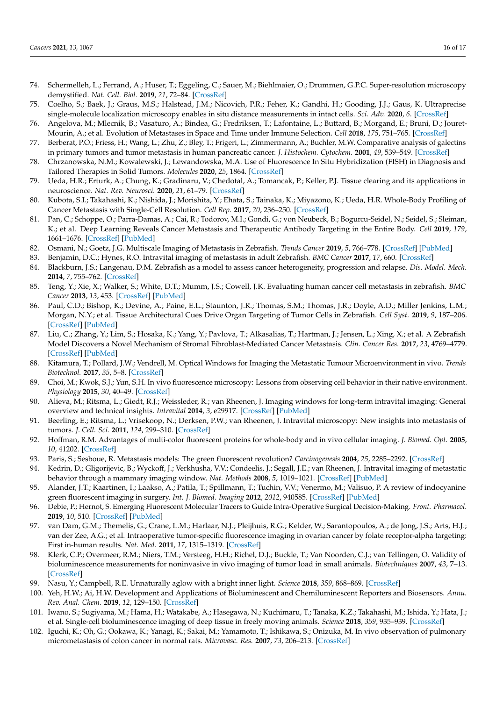- <span id="page-15-0"></span>74. Schermelleh, L.; Ferrand, A.; Huser, T.; Eggeling, C.; Sauer, M.; Biehlmaier, O.; Drummen, G.P.C. Super-resolution microscopy demystified. *Nat. Cell. Biol.* **2019**, *21*, 72–84. [\[CrossRef\]](http://doi.org/10.1038/s41556-018-0251-8)
- <span id="page-15-1"></span>75. Coelho, S.; Baek, J.; Graus, M.S.; Halstead, J.M.; Nicovich, P.R.; Feher, K.; Gandhi, H.; Gooding, J.J.; Gaus, K. Ultraprecise single-molecule localization microscopy enables in situ distance measurements in intact cells. *Sci. Adv.* **2020**, *6*. [\[CrossRef\]](http://doi.org/10.1126/sciadv.aay8271)
- <span id="page-15-2"></span>76. Angelova, M.; Mlecnik, B.; Vasaturo, A.; Bindea, G.; Fredriksen, T.; Lafontaine, L.; Buttard, B.; Morgand, E.; Bruni, D.; Jouret-Mourin, A.; et al. Evolution of Metastases in Space and Time under Immune Selection. *Cell* **2018**, *175*, 751–765. [\[CrossRef\]](http://doi.org/10.1016/j.cell.2018.09.018)
- <span id="page-15-3"></span>77. Berberat, P.O.; Friess, H.; Wang, L.; Zhu, Z.; Bley, T.; Frigeri, L.; Zimmermann, A.; Buchler, M.W. Comparative analysis of galectins in primary tumors and tumor metastasis in human pancreatic cancer. *J. Histochem. Cytochem.* **2001**, *49*, 539–549. [\[CrossRef\]](http://doi.org/10.1177/002215540104900414)
- <span id="page-15-4"></span>78. Chrzanowska, N.M.; Kowalewski, J.; Lewandowska, M.A. Use of Fluorescence In Situ Hybridization (FISH) in Diagnosis and Tailored Therapies in Solid Tumors. *Molecules* **2020**, *25*, 1864. [\[CrossRef\]](http://doi.org/10.3390/molecules25081864)
- <span id="page-15-5"></span>79. Ueda, H.R.; Erturk, A.; Chung, K.; Gradinaru, V.; Chedotal, A.; Tomancak, P.; Keller, P.J. Tissue clearing and its applications in neuroscience. *Nat. Rev. Neurosci.* **2020**, *21*, 61–79. [\[CrossRef\]](http://doi.org/10.1038/s41583-019-0250-1)
- <span id="page-15-6"></span>80. Kubota, S.I.; Takahashi, K.; Nishida, J.; Morishita, Y.; Ehata, S.; Tainaka, K.; Miyazono, K.; Ueda, H.R. Whole-Body Profiling of Cancer Metastasis with Single-Cell Resolution. *Cell Rep.* **2017**, *20*, 236–250. [\[CrossRef\]](http://doi.org/10.1016/j.celrep.2017.06.010)
- <span id="page-15-7"></span>81. Pan, C.; Schoppe, O.; Parra-Damas, A.; Cai, R.; Todorov, M.I.; Gondi, G.; von Neubeck, B.; Bogurcu-Seidel, N.; Seidel, S.; Sleiman, K.; et al. Deep Learning Reveals Cancer Metastasis and Therapeutic Antibody Targeting in the Entire Body. *Cell* **2019**, *179*, 1661–1676. [\[CrossRef\]](http://doi.org/10.1016/j.cell.2019.11.013) [\[PubMed\]](http://www.ncbi.nlm.nih.gov/pubmed/31835038)
- <span id="page-15-8"></span>82. Osmani, N.; Goetz, J.G. Multiscale Imaging of Metastasis in Zebrafish. *Trends Cancer* **2019**, *5*, 766–778. [\[CrossRef\]](http://doi.org/10.1016/j.trecan.2019.10.003) [\[PubMed\]](http://www.ncbi.nlm.nih.gov/pubmed/31813454)
- <span id="page-15-9"></span>83. Benjamin, D.C.; Hynes, R.O. Intravital imaging of metastasis in adult Zebrafish. *BMC Cancer* **2017**, *17*, 660. [\[CrossRef\]](http://doi.org/10.1186/s12885-017-3647-0)
- <span id="page-15-10"></span>84. Blackburn, J.S.; Langenau, D.M. Zebrafish as a model to assess cancer heterogeneity, progression and relapse. *Dis. Model. Mech.* **2014**, *7*, 755–762. [\[CrossRef\]](http://doi.org/10.1242/dmm.015842)
- 85. Teng, Y.; Xie, X.; Walker, S.; White, D.T.; Mumm, J.S.; Cowell, J.K. Evaluating human cancer cell metastasis in zebrafish. *BMC Cancer* **2013**, *13*, 453. [\[CrossRef\]](http://doi.org/10.1186/1471-2407-13-453) [\[PubMed\]](http://www.ncbi.nlm.nih.gov/pubmed/24089705)
- <span id="page-15-11"></span>86. Paul, C.D.; Bishop, K.; Devine, A.; Paine, E.L.; Staunton, J.R.; Thomas, S.M.; Thomas, J.R.; Doyle, A.D.; Miller Jenkins, L.M.; Morgan, N.Y.; et al. Tissue Architectural Cues Drive Organ Targeting of Tumor Cells in Zebrafish. *Cell Syst.* **2019**, *9*, 187–206. [\[CrossRef\]](http://doi.org/10.1016/j.cels.2019.07.005) [\[PubMed\]](http://www.ncbi.nlm.nih.gov/pubmed/31445892)
- <span id="page-15-12"></span>87. Liu, C.; Zhang, Y.; Lim, S.; Hosaka, K.; Yang, Y.; Pavlova, T.; Alkasalias, T.; Hartman, J.; Jensen, L.; Xing, X.; et al. A Zebrafish Model Discovers a Novel Mechanism of Stromal Fibroblast-Mediated Cancer Metastasis. *Clin. Cancer Res.* **2017**, *23*, 4769–4779. [\[CrossRef\]](http://doi.org/10.1158/1078-0432.CCR-17-0101) [\[PubMed\]](http://www.ncbi.nlm.nih.gov/pubmed/28420724)
- <span id="page-15-13"></span>88. Kitamura, T.; Pollard, J.W.; Vendrell, M. Optical Windows for Imaging the Metastatic Tumour Microenvironment in vivo. *Trends Biotechnol.* **2017**, *35*, 5–8. [\[CrossRef\]](http://doi.org/10.1016/j.tibtech.2016.05.001)
- 89. Choi, M.; Kwok, S.J.; Yun, S.H. In vivo fluorescence microscopy: Lessons from observing cell behavior in their native environment. *Physiology* **2015**, *30*, 40–49. [\[CrossRef\]](http://doi.org/10.1152/physiol.00019.2014)
- <span id="page-15-14"></span>90. Alieva, M.; Ritsma, L.; Giedt, R.J.; Weissleder, R.; van Rheenen, J. Imaging windows for long-term intravital imaging: General overview and technical insights. *Intravital* **2014**, *3*, e29917. [\[CrossRef\]](http://doi.org/10.4161/intv.29917) [\[PubMed\]](http://www.ncbi.nlm.nih.gov/pubmed/28243510)
- <span id="page-15-15"></span>91. Beerling, E.; Ritsma, L.; Vrisekoop, N.; Derksen, P.W.; van Rheenen, J. Intravital microscopy: New insights into metastasis of tumors. *J. Cell. Sci.* **2011**, *124*, 299–310. [\[CrossRef\]](http://doi.org/10.1242/jcs.072728)
- <span id="page-15-16"></span>92. Hoffman, R.M. Advantages of multi-color fluorescent proteins for whole-body and in vivo cellular imaging. *J. Biomed. Opt.* **2005**, *10*, 41202. [\[CrossRef\]](http://doi.org/10.1117/1.1992485)
- <span id="page-15-17"></span>93. Paris, S.; Sesboue, R. Metastasis models: The green fluorescent revolution? *Carcinogenesis* **2004**, *25*, 2285–2292. [\[CrossRef\]](http://doi.org/10.1093/carcin/bgh219)
- <span id="page-15-18"></span>94. Kedrin, D.; Gligorijevic, B.; Wyckoff, J.; Verkhusha, V.V.; Condeelis, J.; Segall, J.E.; van Rheenen, J. Intravital imaging of metastatic behavior through a mammary imaging window. *Nat. Methods* **2008**, *5*, 1019–1021. [\[CrossRef\]](http://doi.org/10.1038/nmeth.1269) [\[PubMed\]](http://www.ncbi.nlm.nih.gov/pubmed/18997781)
- <span id="page-15-19"></span>95. Alander, J.T.; Kaartinen, I.; Laakso, A.; Patila, T.; Spillmann, T.; Tuchin, V.V.; Venermo, M.; Valisuo, P. A review of indocyanine green fluorescent imaging in surgery. *Int. J. Biomed. Imaging* **2012**, *2012*, 940585. [\[CrossRef\]](http://doi.org/10.1155/2012/940585) [\[PubMed\]](http://www.ncbi.nlm.nih.gov/pubmed/22577366)
- <span id="page-15-20"></span>96. Debie, P.; Hernot, S. Emerging Fluorescent Molecular Tracers to Guide Intra-Operative Surgical Decision-Making. *Front. Pharmacol.* **2019**, *10*, 510. [\[CrossRef\]](http://doi.org/10.3389/fphar.2019.00510) [\[PubMed\]](http://www.ncbi.nlm.nih.gov/pubmed/31139085)
- <span id="page-15-21"></span>97. van Dam, G.M.; Themelis, G.; Crane, L.M.; Harlaar, N.J.; Pleijhuis, R.G.; Kelder, W.; Sarantopoulos, A.; de Jong, J.S.; Arts, H.J.; van der Zee, A.G.; et al. Intraoperative tumor-specific fluorescence imaging in ovarian cancer by folate receptor-alpha targeting: First in-human results. *Nat. Med.* **2011**, *17*, 1315–1319. [\[CrossRef\]](http://doi.org/10.1038/nm.2472)
- <span id="page-15-22"></span>98. Klerk, C.P.; Overmeer, R.M.; Niers, T.M.; Versteeg, H.H.; Richel, D.J.; Buckle, T.; Van Noorden, C.J.; van Tellingen, O. Validity of bioluminescence measurements for noninvasive in vivo imaging of tumor load in small animals. *Biotechniques* **2007**, *43*, 7–13. [\[CrossRef\]](http://doi.org/10.2144/000112515)
- <span id="page-15-23"></span>99. Nasu, Y.; Campbell, R.E. Unnaturally aglow with a bright inner light. *Science* **2018**, *359*, 868–869. [\[CrossRef\]](http://doi.org/10.1126/science.aas9159)
- <span id="page-15-24"></span>100. Yeh, H.W.; Ai, H.W. Development and Applications of Bioluminescent and Chemiluminescent Reporters and Biosensors. *Annu. Rev. Anal. Chem.* **2019**, *12*, 129–150. [\[CrossRef\]](http://doi.org/10.1146/annurev-anchem-061318-115027)
- <span id="page-15-25"></span>101. Iwano, S.; Sugiyama, M.; Hama, H.; Watakabe, A.; Hasegawa, N.; Kuchimaru, T.; Tanaka, K.Z.; Takahashi, M.; Ishida, Y.; Hata, J.; et al. Single-cell bioluminescence imaging of deep tissue in freely moving animals. *Science* **2018**, *359*, 935–939. [\[CrossRef\]](http://doi.org/10.1126/science.aaq1067)
- <span id="page-15-26"></span>102. Iguchi, K.; Oh, G.; Ookawa, K.; Yanagi, K.; Sakai, M.; Yamamoto, T.; Ishikawa, S.; Onizuka, M. In vivo observation of pulmonary micrometastasis of colon cancer in normal rats. *Microvasc. Res.* **2007**, *73*, 206–213. [\[CrossRef\]](http://doi.org/10.1016/j.mvr.2007.02.003)